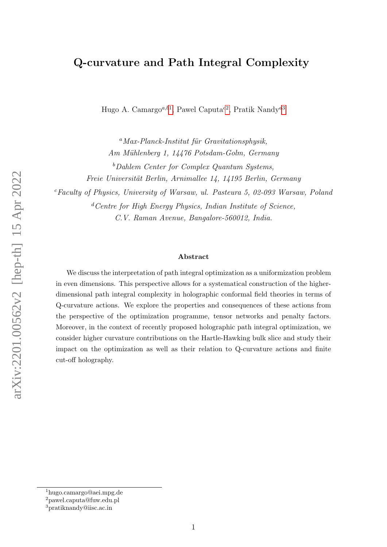## Q-curvature and Path Integral Complexity

Hugo A. Camargo<sup>a,b[1](#page-0-0)</sup>, Pawel Caputa<sup>c[2](#page-0-1)</sup>, Pratik Nandy<sup>d[3](#page-0-2)</sup>

 $^{a}$ Max-Planck-Institut für Gravitationsphysik, Am Mühlenberg 1, 14476 Potsdam-Golm, Germany  $<sup>b</sup>Dahlen Center for Complex Quantum Systems,$ </sup> Freie Universität Berlin, Arnimallee 14, 14195 Berlin, Germany  $c$ Faculty of Physics, University of Warsaw, ul. Pasteura 5, 02-093 Warsaw, Poland  ${}^d$ Centre for High Energy Physics, Indian Institute of Science,

C.V. Raman Avenue, Bangalore-560012, India.

#### Abstract

We discuss the interpretation of path integral optimization as a uniformization problem in even dimensions. This perspective allows for a systematical construction of the higherdimensional path integral complexity in holographic conformal field theories in terms of Q-curvature actions. We explore the properties and consequences of these actions from the perspective of the optimization programme, tensor networks and penalty factors. Moreover, in the context of recently proposed holographic path integral optimization, we consider higher curvature contributions on the Hartle-Hawking bulk slice and study their impact on the optimization as well as their relation to Q-curvature actions and finite cut-off holography.

<span id="page-0-0"></span><sup>1</sup>hugo.camargo@aei.mpg.de

<span id="page-0-1"></span><sup>2</sup>pawel.caputa@fuw.edu.pl

<span id="page-0-2"></span><sup>3</sup>pratiknandy@iisc.ac.in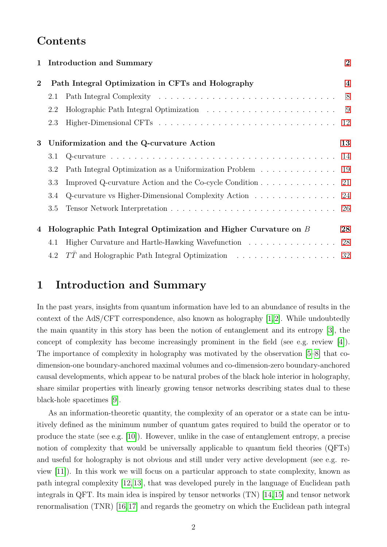## Contents

|                                                                   |                                                        | $\overline{2}$                                                                                                                                                                                                                                                                                                 |
|-------------------------------------------------------------------|--------------------------------------------------------|----------------------------------------------------------------------------------------------------------------------------------------------------------------------------------------------------------------------------------------------------------------------------------------------------------------|
| Path Integral Optimization in CFTs and Holography<br>$\mathbf{2}$ |                                                        | $\overline{\mathbf{4}}$                                                                                                                                                                                                                                                                                        |
| 2.1                                                               |                                                        |                                                                                                                                                                                                                                                                                                                |
| 2.2                                                               |                                                        |                                                                                                                                                                                                                                                                                                                |
| 2.3                                                               |                                                        |                                                                                                                                                                                                                                                                                                                |
| Uniformization and the Q-curvature Action                         |                                                        | 13                                                                                                                                                                                                                                                                                                             |
| 3.1                                                               |                                                        |                                                                                                                                                                                                                                                                                                                |
| 3.2                                                               | Path Integral Optimization as a Uniformization Problem | 19                                                                                                                                                                                                                                                                                                             |
| 3.3                                                               |                                                        |                                                                                                                                                                                                                                                                                                                |
| 3.4                                                               |                                                        |                                                                                                                                                                                                                                                                                                                |
| 3.5                                                               |                                                        |                                                                                                                                                                                                                                                                                                                |
|                                                                   |                                                        | 28                                                                                                                                                                                                                                                                                                             |
| 4.1                                                               |                                                        |                                                                                                                                                                                                                                                                                                                |
| 4.2                                                               |                                                        |                                                                                                                                                                                                                                                                                                                |
|                                                                   | $\mathbf{1}$                                           | <b>Introduction and Summary</b><br>Improved Q-curvature Action and the Co-cycle Condition $\dots \dots \dots \dots \dots$<br>Q-curvature vs Higher-Dimensional Complexity Action 24<br>Holographic Path Integral Optimization and Higher Curvature on B<br>Higher Curvature and Hartle-Hawking Wavefunction 28 |

## <span id="page-1-0"></span>1 Introduction and Summary

In the past years, insights from quantum information have led to an abundance of results in the context of the AdS/CFT correspondence, also known as holography [\[1,](#page-32-0) [2\]](#page-32-1). While undoubtedly the main quantity in this story has been the notion of entanglement and its entropy [\[3\]](#page-32-2), the concept of complexity has become increasingly prominent in the field (see e.g. review [\[4\]](#page-32-3)). The importance of complexity in holography was motivated by the observation [\[5–](#page-32-4)[8\]](#page-32-5) that codimension-one boundary-anchored maximal volumes and co-dimension-zero boundary-anchored causal developments, which appear to be natural probes of the black hole interior in holography, share similar properties with linearly growing tensor networks describing states dual to these black-hole spacetimes [\[9\]](#page-33-0).

As an information-theoretic quantity, the complexity of an operator or a state can be intuitively defined as the minimum number of quantum gates required to build the operator or to produce the state (see e.g. [\[10\]](#page-33-1)). However, unlike in the case of entanglement entropy, a precise notion of complexity that would be universally applicable to quantum field theories (QFTs) and useful for holography is not obvious and still under very active development (see e.g. review [\[11\]](#page-33-2)). In this work we will focus on a particular approach to state complexity, known as path integral complexity [\[12,](#page-33-3)[13\]](#page-33-4), that was developed purely in the language of Euclidean path integrals in QFT. Its main idea is inspired by tensor networks (TN) [\[14,](#page-33-5)[15\]](#page-33-6) and tensor network renormalisation (TNR) [\[16,](#page-33-7)[17\]](#page-33-8) and regards the geometry on which the Euclidean path integral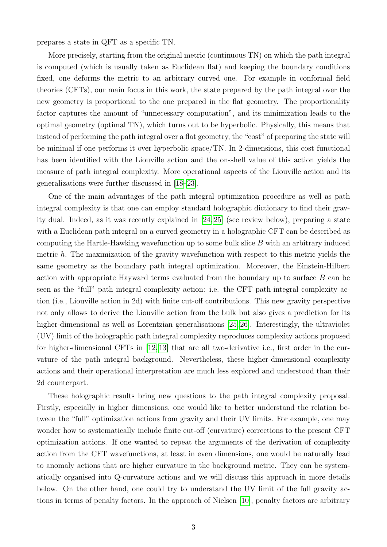prepares a state in QFT as a specific TN.

More precisely, starting from the original metric (continuous TN) on which the path integral is computed (which is usually taken as Euclidean flat) and keeping the boundary conditions fixed, one deforms the metric to an arbitrary curved one. For example in conformal field theories (CFTs), our main focus in this work, the state prepared by the path integral over the new geometry is proportional to the one prepared in the flat geometry. The proportionality factor captures the amount of "unnecessary computation", and its minimization leads to the optimal geometry (optimal TN), which turns out to be hyperbolic. Physically, this means that instead of performing the path integral over a flat geometry, the "cost" of preparing the state will be minimal if one performs it over hyperbolic space/TN. In 2-dimensions, this cost functional has been identified with the Liouville action and the on-shell value of this action yields the measure of path integral complexity. More operational aspects of the Liouville action and its generalizations were further discussed in [\[18–](#page-33-9)[23\]](#page-33-10).

One of the main advantages of the path integral optimization procedure as well as path integral complexity is that one can employ standard holographic dictionary to find their gravity dual. Indeed, as it was recently explained in [\[24,](#page-34-0) [25\]](#page-34-1) (see review below), preparing a state with a Euclidean path integral on a curved geometry in a holographic CFT can be described as computing the Hartle-Hawking wavefunction up to some bulk slice  $B$  with an arbitrary induced metric h. The maximization of the gravity wavefunction with respect to this metric yields the same geometry as the boundary path integral optimization. Moreover, the Einstein-Hilbert action with appropriate Hayward terms evaluated from the boundary up to surface B can be seen as the "full" path integral complexity action: i.e. the CFT path-integral complexity action (i.e., Liouville action in 2d) with finite cut-off contributions. This new gravity perspective not only allows to derive the Liouville action from the bulk but also gives a prediction for its higher-dimensional as well as Lorentzian generalisations [\[25,](#page-34-1) [26\]](#page-34-2). Interestingly, the ultraviolet (UV) limit of the holographic path integral complexity reproduces complexity actions proposed for higher-dimensional CFTs in [\[12,](#page-33-3) [13\]](#page-33-4) that are all two-derivative i.e., first order in the curvature of the path integral background. Nevertheless, these higher-dimensional complexity actions and their operational interpretation are much less explored and understood than their 2d counterpart.

These holographic results bring new questions to the path integral complexity proposal. Firstly, especially in higher dimensions, one would like to better understand the relation between the "full" optimization actions from gravity and their UV limits. For example, one may wonder how to systematically include finite cut-off (curvature) corrections to the present CFT optimization actions. If one wanted to repeat the arguments of the derivation of complexity action from the CFT wavefunctions, at least in even dimensions, one would be naturally lead to anomaly actions that are higher curvature in the background metric. They can be systematically organised into Q-curvature actions and we will discuss this approach in more details below. On the other hand, one could try to understand the UV limit of the full gravity actions in terms of penalty factors. In the approach of Nielsen [\[10\]](#page-33-1), penalty factors are arbitrary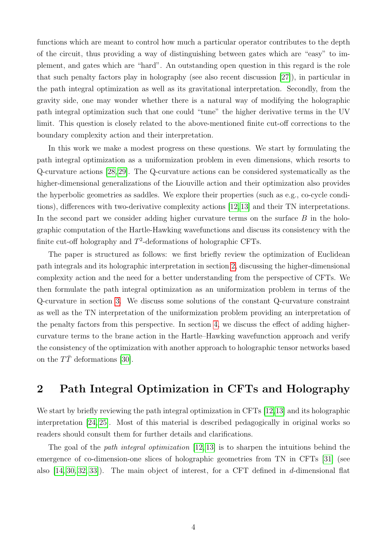functions which are meant to control how much a particular operator contributes to the depth of the circuit, thus providing a way of distinguishing between gates which are "easy" to implement, and gates which are "hard". An outstanding open question in this regard is the role that such penalty factors play in holography (see also recent discussion [\[27\]](#page-34-3)), in particular in the path integral optimization as well as its gravitational interpretation. Secondly, from the gravity side, one may wonder whether there is a natural way of modifying the holographic path integral optimization such that one could "tune" the higher derivative terms in the UV limit. This question is closely related to the above-mentioned finite cut-off corrections to the boundary complexity action and their interpretation.

In this work we make a modest progress on these questions. We start by formulating the path integral optimization as a uniformization problem in even dimensions, which resorts to Q-curvature actions [\[28,](#page-34-4) [29\]](#page-34-5). The Q-curvature actions can be considered systematically as the higher-dimensional generalizations of the Liouville action and their optimization also provides the hyperbolic geometries as saddles. We explore their properties (such as e.g., co-cycle conditions), differences with two-derivative complexity actions [\[12,](#page-33-3)[13\]](#page-33-4) and their TN interpretations. In the second part we consider adding higher curvature terms on the surface  $B$  in the holographic computation of the Hartle-Hawking wavefunctions and discuss its consistency with the finite cut-off holography and  $T^2$ -deformations of holographic CFTs.

The paper is structured as follows: we first briefly review the optimization of Euclidean path integrals and its holographic interpretation in section [2,](#page-3-0) discussing the higher-dimensional complexity action and the need for a better understanding from the perspective of CFTs. We then formulate the path integral optimization as an uniformization problem in terms of the Q-curvature in section [3.](#page-12-0) We discuss some solutions of the constant Q-curvature constraint as well as the TN interpretation of the uniformization problem providing an interpretation of the penalty factors from this perspective. In section [4,](#page-27-0) we discuss the effect of adding highercurvature terms to the brane action in the Hartle–Hawking wavefunction approach and verify the consistency of the optimization with another approach to holographic tensor networks based on the  $T\bar{T}$  deformations [\[30\]](#page-34-6).

## <span id="page-3-0"></span>2 Path Integral Optimization in CFTs and Holography

We start by briefly reviewing the path integral optimization in CFTs [\[12,](#page-33-3)[13\]](#page-33-4) and its holographic interpretation [\[24,](#page-34-0) [25\]](#page-34-1). Most of this material is described pedagogically in original works so readers should consult them for further details and clarifications.

The goal of the *path integral optimization*  $[12, 13]$  $[12, 13]$  is to sharpen the intuitions behind the emergence of co-dimension-one slices of holographic geometries from TN in CFTs [\[31\]](#page-34-7) (see also  $[14, 30, 32, 33]$  $[14, 30, 32, 33]$  $[14, 30, 32, 33]$  $[14, 30, 32, 33]$ . The main object of interest, for a CFT defined in d-dimensional flat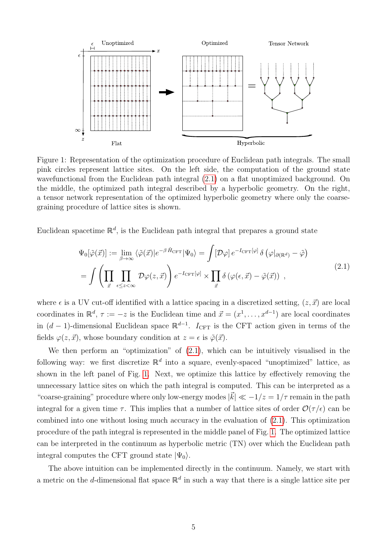<span id="page-4-1"></span>

Figure 1: Representation of the optimization procedure of Euclidean path integrals. The small pink circles represent lattice sites. On the left side, the computation of the ground state wavefunctional from the Euclidean path integral [\(2.1\)](#page-4-0) on a flat unoptimized background. On the middle, the optimized path integral described by a hyperbolic geometry. On the right, a tensor network representation of the optimized hyperbolic geometry where only the coarsegraining procedure of lattice sites is shown.

Euclidean spacetime  $\mathbb{R}^d$ , is the Euclidean path integral that prepares a ground state

<span id="page-4-0"></span>
$$
\Psi_0[\tilde{\varphi}(\vec{x})] := \lim_{\beta \to \infty} \langle \tilde{\varphi}(\vec{x})|e^{-\beta \hat{H}_{\text{CFT}}}|\Psi_0\rangle = \int [\mathcal{D}\varphi] e^{-I_{\text{CFT}}[\varphi]} \delta \left(\varphi|_{\partial(\mathbb{R}^d)} - \tilde{\varphi}\right)
$$
\n
$$
= \int \left(\prod_{\vec{x}} \prod_{\epsilon \le z < \infty} \mathcal{D}\varphi(z,\vec{x})\right) e^{-I_{\text{CFT}}[\varphi]} \times \prod_{\vec{x}} \delta \left(\varphi(\epsilon,\vec{x}) - \tilde{\varphi}(\vec{x})\right) , \qquad (2.1)
$$

where  $\epsilon$  is a UV cut-off identified with a lattice spacing in a discretized setting,  $(z, \vec{x})$  are local coordinates in  $\mathbb{R}^d$ ,  $\tau := -z$  is the Euclidean time and  $\vec{x} = (x^1, \ldots, x^{d-1})$  are local coordinates in  $(d-1)$ -dimensional Euclidean space  $\mathbb{R}^{d-1}$ .  $I_{\text{CFT}}$  is the CFT action given in terms of the fields  $\varphi(z, \vec{x})$ , whose boundary condition at  $z = \epsilon$  is  $\tilde{\varphi}(\vec{x})$ .

We then perform an "optimization" of  $(2.1)$ , which can be intuitively visualised in the following way: we first discretize  $\mathbb{R}^d$  into a square, evenly-spaced "unoptimized" lattice, as shown in the left panel of Fig. [1.](#page-4-1) Next, we optimize this lattice by effectively removing the unnecessary lattice sites on which the path integral is computed. This can be interpreted as a "coarse-graining" procedure where only low-energy modes  $|\vec{k}| \ll -1/z = 1/\tau$  remain in the path integral for a given time  $\tau$ . This implies that a number of lattice sites of order  $\mathcal{O}(\tau/\epsilon)$  can be combined into one without losing much accuracy in the evaluation of [\(2.1\)](#page-4-0). This optimization procedure of the path integral is represented in the middle panel of Fig. [1.](#page-4-1) The optimized lattice can be interpreted in the continuum as hyperbolic metric (TN) over which the Euclidean path integral computes the CFT ground state  $|\Psi_0\rangle$ .

The above intuition can be implemented directly in the continuum. Namely, we start with a metric on the *d*-dimensional flat space  $\mathbb{R}^d$  in such a way that there is a single lattice site per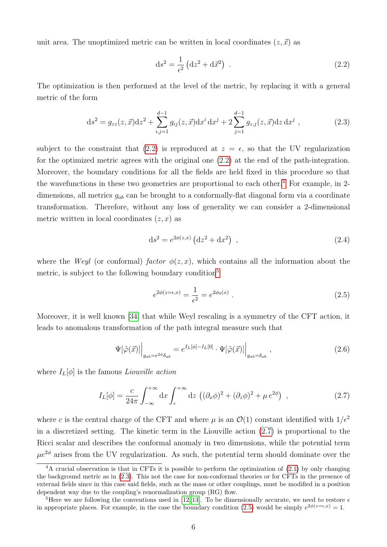unit area. The unoptimized metric can be written in local coordinates  $(z, \vec{x})$  as

<span id="page-5-4"></span><span id="page-5-0"></span>
$$
\mathrm{d}s^2 = \frac{1}{\epsilon^2} \left( \mathrm{d}z^2 + \mathrm{d}\vec{x}^2 \right) \tag{2.2}
$$

The optimization is then performed at the level of the metric, by replacing it with a general metric of the form

$$
ds^{2} = g_{zz}(z, \vec{x})dz^{2} + \sum_{i,j=1}^{d-1} g_{ij}(z, \vec{x})dx^{i} dx^{j} + 2\sum_{j=1}^{d-1} g_{z,j}(z, \vec{x})dz dx^{j},
$$
\n(2.3)

subject to the constraint that [\(2.2\)](#page-5-0) is reproduced at  $z = \epsilon$ , so that the UV regularization for the optimized metric agrees with the original one [\(2.2\)](#page-5-0) at the end of the path-integration. Moreover, the boundary conditions for all the fields are held fixed in this procedure so that the wavefunctions in these two geometries are proportional to each other.<sup>[4](#page-5-1)</sup> For example, in 2dimensions, all metrics  $g_{ab}$  can be brought to a conformally-flat diagonal form via a coordinate transformation. Therefore, without any loss of generality we can consider a 2-dimensional metric written in local coordinates  $(z, x)$  as

<span id="page-5-6"></span>
$$
ds^{2} = e^{2\phi(z,x)} (dz^{2} + dx^{2}), \qquad (2.4)
$$

where the Weyl (or conformal) factor  $\phi(z, x)$ , which contains all the information about the metric, is subject to the following boundary condition<sup>[5](#page-5-2)</sup>

<span id="page-5-7"></span><span id="page-5-5"></span><span id="page-5-3"></span>
$$
e^{2\phi(z=\epsilon,x)} = \frac{1}{\epsilon^2} = e^{2\phi_0(x)}.
$$
\n(2.5)

Moreover, it is well known [\[34\]](#page-34-10) that while Weyl rescaling is a symmetry of the CFT action, it leads to anomalous transformation of the path integral measure such that

$$
\Psi[\tilde{\varphi}(\vec{x})] \Big|_{g_{ab}=e^{2\phi}\delta_{ab}} = e^{I_L[\phi]-I_L[0]} \cdot \Psi[\tilde{\varphi}(\vec{x})] \Big|_{g_{ab}=\delta_{ab}}, \qquad (2.6)
$$

where  $I_L[\phi]$  is the famous Liouville action

$$
I_L[\phi] = \frac{c}{24\pi} \int_{-\infty}^{+\infty} dx \int_{\epsilon}^{+\infty} dz \, \left( (\partial_x \phi)^2 + (\partial_z \phi)^2 + \mu \, e^{2\phi} \right) \;, \tag{2.7}
$$

where c is the central charge of the CFT and where  $\mu$  is an  $\mathcal{O}(1)$  constant identified with  $1/\epsilon^2$ in a discretized setting. The kinetic term in the Liouville action [\(2.7\)](#page-5-3) is proportional to the Ricci scalar and describes the conformal anomaly in two dimensions, while the potential term  $\mu e^{2\phi}$  arises from the UV regularization. As such, the potential term should dominate over the

<span id="page-5-1"></span><sup>&</sup>lt;sup>4</sup>A crucial observation is that in CFTs it is possible to perform the optimization of  $(2.1)$  by only changing the background metric as in [\(2.3\)](#page-5-4). This not the case for non-conformal theories or for CFTs in the presence of external fields since in this case said fields, such as the mass or other couplings, must be modified in a position dependent way due to the coupling's renormalization group (RG) flow.

<span id="page-5-2"></span><sup>&</sup>lt;sup>5</sup>Here we are following the conventions used in [\[12,](#page-33-3) [13\]](#page-33-4). To be dimensionally accurate, we need to restore  $\epsilon$ in appropriate places. For example, in the case the boundary condition [\(2.5\)](#page-5-5) would be simply  $e^{2\phi(z=\epsilon,x)}=1$ .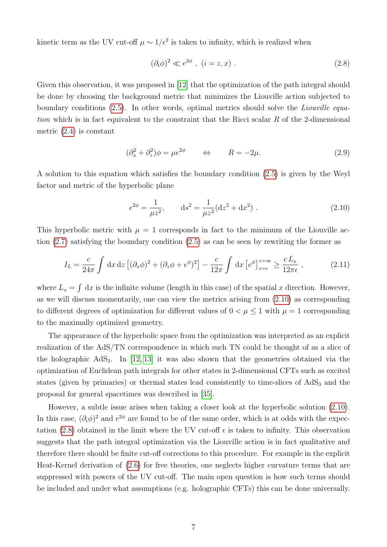kinetic term as the UV cut-off  $\mu \sim 1/\epsilon^2$  is taken to infinity, which is realized when

<span id="page-6-3"></span><span id="page-6-1"></span>
$$
(\partial_i \phi)^2 \ll e^{2\phi} \ , \ (i = z, x) \ . \tag{2.8}
$$

Given this observation, it was proposed in [\[12\]](#page-33-3) that the optimization of the path integral should be done by choosing the background metric that minimizes the Liouville action subjected to boundary conditions [\(2.5\)](#page-5-5). In other words, optimal metrics should solve the Liouville equation which is in fact equivalent to the constraint that the Ricci scalar  $R$  of the 2-dimensional metric [\(2.4\)](#page-5-6) is constant

$$
(\partial_x^2 + \partial_z^2)\phi = \mu e^{2\phi} \qquad \Leftrightarrow \qquad R = -2\mu. \tag{2.9}
$$

A solution to this equation which satisfies the boundary condition [\(2.5\)](#page-5-5) is given by the Weyl factor and metric of the hyperbolic plane

<span id="page-6-2"></span><span id="page-6-0"></span>
$$
e^{2\phi} = \frac{1}{\mu z^2}, \qquad ds^2 = \frac{1}{\mu z^2} (dz^2 + dx^2) \ . \tag{2.10}
$$

This hyperbolic metric with  $\mu = 1$  corresponds in fact to the minimum of the Liouville action [\(2.7\)](#page-5-3) satisfying the boundary condition [\(2.5\)](#page-5-5) as can be seen by rewriting the former as

$$
I_L = \frac{c}{24\pi} \int dx dz \left[ (\partial_x \phi)^2 + (\partial_z \phi + e^{\phi})^2 \right] - \frac{c}{12\pi} \int dx \left[ e^{\phi} \right]_{z=\epsilon}^{z=\infty} \ge \frac{c L_x}{12\pi \epsilon} , \qquad (2.11)
$$

where  $L_x = \int dx$  is the infinite volume (length in this case) of the spatial x direction. However, as we will discuss momentarily, one can view the metrics arising from [\(2.10\)](#page-6-0) as corresponding to different degrees of optimization for different values of  $0 < \mu \leq 1$  with  $\mu = 1$  corresponding to the maximally optimized geometry.

The appearance of the hyperbolic space from the optimization was interpreted as an explicit realization of the AdS/TN correspondence in which such TN could be thought of as a slice of the holographic  $AdS_3$ . In [\[12,](#page-33-3) [13\]](#page-33-4) it was also shown that the geometries obtained via the optimization of Euclidean path integrals for other states in 2-dimensional CFTs such as excited states (given by primaries) or thermal states lead consistently to time-slices of  $AdS<sub>3</sub>$  and the proposal for general spacetimes was described in [\[35\]](#page-34-11).

However, a subtle issue arises when taking a closer look at the hyperbolic solution [\(2.10\)](#page-6-0). In this case,  $(\partial_i \phi)^2$  and  $e^{2\phi}$  are found to be of the same order, which is at odds with the expec-tation [\(2.8\)](#page-6-1) obtained in the limit where the UV cut-off  $\epsilon$  is taken to infinity. This observation suggests that the path integral optimization via the Liouville action is in fact qualitative and therefore there should be finite cut-off corrections to this procedure. For example in the explicit Heat-Kernel derivation of [\(2.6\)](#page-5-7) for free theories, one neglects higher curvature terms that are suppressed with powers of the UV cut-off. The main open question is how such terms should be included and under what assumptions (e.g. holographic CFTs) this can be done universally.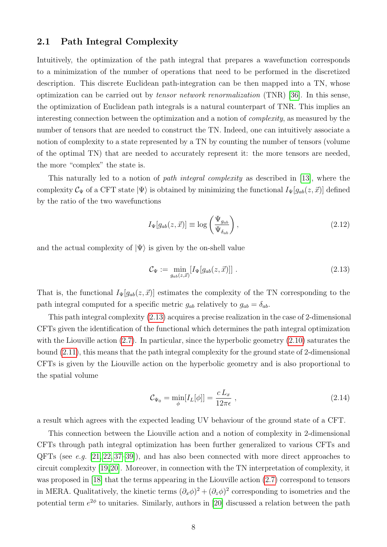#### <span id="page-7-0"></span>2.1 Path Integral Complexity

Intuitively, the optimization of the path integral that prepares a wavefunction corresponds to a minimization of the number of operations that need to be performed in the discretized description. This discrete Euclidean path-integration can be then mapped into a TN, whose optimization can be carried out by tensor network renormalization (TNR) [\[36\]](#page-34-12). In this sense, the optimization of Euclidean path integrals is a natural counterpart of TNR. This implies an interesting connection between the optimization and a notion of complexity, as measured by the number of tensors that are needed to construct the TN. Indeed, one can intuitively associate a notion of complexity to a state represented by a TN by counting the number of tensors (volume of the optimal TN) that are needed to accurately represent it: the more tensors are needed, the more "complex" the state is.

This naturally led to a notion of *path integral complexity* as described in [\[13\]](#page-33-4), where the complexity  $\mathcal{C}_{\Psi}$  of a CFT state  $|\Psi\rangle$  is obtained by minimizing the functional  $I_{\Psi}[g_{ab}(z, \vec{x})]$  defined by the ratio of the two wavefunctions

<span id="page-7-2"></span>
$$
I_{\Psi}[g_{ab}(z,\vec{x})] \equiv \log\left(\frac{\Psi_{g_{ab}}}{\Psi_{\delta_{ab}}}\right),\tag{2.12}
$$

and the actual complexity of  $|\Psi\rangle$  is given by the on-shell value

<span id="page-7-1"></span>
$$
\mathcal{C}_{\Psi} := \min_{g_{ab}(z,\vec{x})} [I_{\Psi}[g_{ab}(z,\vec{x})]] \ . \tag{2.13}
$$

That is, the functional  $I_{\Psi}[g_{ab}(z, \vec{x})]$  estimates the complexity of the TN corresponding to the path integral computed for a specific metric  $g_{ab}$  relatively to  $g_{ab} = \delta_{ab}$ .

This path integral complexity [\(2.13\)](#page-7-1) acquires a precise realization in the case of 2-dimensional CFTs given the identification of the functional which determines the path integral optimization with the Liouville action [\(2.7\)](#page-5-3). In particular, since the hyperbolic geometry [\(2.10\)](#page-6-0) saturates the bound [\(2.11\)](#page-6-2), this means that the path integral complexity for the ground state of 2-dimensional CFTs is given by the Liouville action on the hyperbolic geometry and is also proportional to the spatial volume

$$
\mathcal{C}_{\Psi_0} = \min_{\phi} [I_L[\phi]] = \frac{c L_x}{12\pi\epsilon} \,, \tag{2.14}
$$

a result which agrees with the expected leading UV behaviour of the ground state of a CFT.

This connection between the Liouville action and a notion of complexity in 2-dimensional CFTs through path integral optimization has been further generalized to various CFTs and QFTs (see e.g. [\[21,](#page-33-11) [22,](#page-33-12) [37–](#page-34-13)[39\]](#page-34-14)), and has also been connected with more direct approaches to circuit complexity [\[19,](#page-33-13)[20\]](#page-33-14). Moreover, in connection with the TN interpretation of complexity, it was proposed in [\[18\]](#page-33-9) that the terms appearing in the Liouville action [\(2.7\)](#page-5-3) correspond to tensors in MERA. Qualitatively, the kinetic terms  $(\partial_x \phi)^2 + (\partial_z \phi)^2$  corresponding to isometries and the potential term  $e^{2\phi}$  to unitaries. Similarly, authors in [\[20\]](#page-33-14) discussed a relation between the path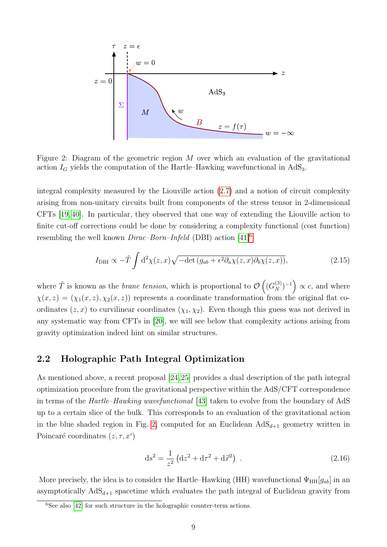<span id="page-8-2"></span>

Figure 2: Diagram of the geometric region  $M$  over which an evaluation of the gravitational action  $I_G$  yields the computation of the Hartle–Hawking wavefunctional in AdS<sub>3</sub>.

integral complexity measured by the Liouville action [\(2.7\)](#page-5-3) and a notion of circuit complexity arising from non-unitary circuits built from components of the stress tensor in 2-dimensional CFTs [\[19,](#page-33-13) [40\]](#page-35-0). In particular, they observed that one way of extending the Liouville action to finite cut-off corrections could be done by considering a complexity functional (cost function) resembling the well known  $Dirac-Born-Infeld$  (DBI) action  $[41]^{6}$  $[41]^{6}$  $[41]^{6}$ 

$$
I_{\text{DBI}} \propto -\tilde{T} \int d^2 \chi(z, x) \sqrt{-\det(g_{ab} + \epsilon^2 \partial_a \chi(z, x) \partial_b \chi(z, x))}, \tag{2.15}
$$

where  $\tilde{T}$  is known as the *brane tension*, which is proportional to  $\mathcal{O}((G_N^{(3)})^{-1}) \propto c$ , and where  $\chi(x, z) = (\chi_1(x, z), \chi_2(x, z))$  represents a coordinate transformation from the original flat coordinates  $(z, x)$  to curvilinear coordinates  $(\chi_1, \chi_2)$ . Even though this guess was not derived in any systematic way from CFTs in [\[20\]](#page-33-14), we will see below that complexity actions arising from gravity optimization indeed hint on similar structures.

#### <span id="page-8-0"></span>2.2 Holographic Path Integral Optimization

As mentioned above, a recent proposal [\[24,](#page-34-0) [25\]](#page-34-1) provides a dual description of the path integral optimization procedure from the gravitational perspective within the AdS/CFT correspondence in terms of the Hartle–Hawking wavefunctional [\[43\]](#page-35-2) taken to evolve from the boundary of AdS up to a certain slice of the bulk. This corresponds to an evaluation of the gravitational action in the blue shaded region in Fig. [2,](#page-8-2) computed for an Euclidean  $AdS_{d+1}$  geometry written in Poincaré coordinates  $(z, \tau, x^i)$ 

<span id="page-8-3"></span>
$$
ds^{2} = \frac{1}{z^{2}} \left( dz^{2} + d\tau^{2} + d\vec{x}^{2} \right) .
$$
 (2.16)

More precisely, the idea is to consider the Hartle–Hawking (HH) wavefunctional  $\Psi_{HH}[g_{ab}]$  in an asymptotically  $AdS_{d+1}$  spacetime which evaluates the path integral of Euclidean gravity from

<span id="page-8-1"></span> $6$ See also [\[42\]](#page-35-3) for such structure in the holographic counter-term actions.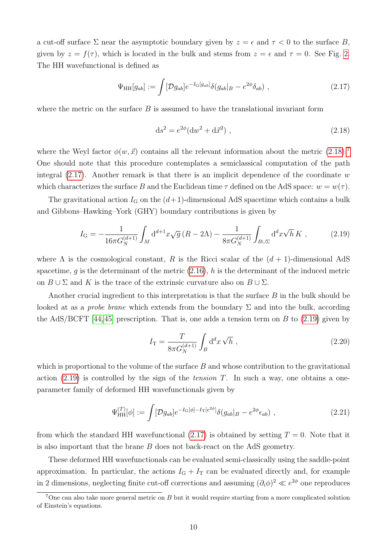a cut-off surface  $\Sigma$  near the asymptotic boundary given by  $z = \epsilon$  and  $\tau < 0$  to the surface B, given by  $z = f(\tau)$ , which is located in the bulk and stems from  $z = \epsilon$  and  $\tau = 0$ . See Fig. [2.](#page-8-2) The HH wavefunctional is defined as

$$
\Psi_{HH}[g_{ab}] := \int [\mathcal{D}g_{ab}] e^{-I_{\mathcal{G}}[g_{ab}]} \delta(g_{ab}|_{B} - e^{2\phi} \delta_{ab}) , \qquad (2.17)
$$

where the metric on the surface  $B$  is assumed to have the translational invariant form

<span id="page-9-3"></span><span id="page-9-2"></span><span id="page-9-0"></span>
$$
ds^{2} = e^{2\phi} (dw^{2} + d\vec{x}^{2}), \qquad (2.18)
$$

where the Weyl factor  $\phi(w, \vec{x})$  contains all the relevant information about the metric [\(2.18\)](#page-9-0).<sup>[7](#page-9-1)</sup> One should note that this procedure contemplates a semiclassical computation of the path integral  $(2.17)$ . Another remark is that there is an implicit dependence of the coordinate w which characterizes the surface B and the Euclidean time  $\tau$  defined on the AdS space:  $w = w(\tau)$ .

The gravitational action  $I_{\rm G}$  on the  $(d+1)$ -dimensional AdS spacetime which contains a bulk and Gibbons–Hawking–York (GHY) boundary contributions is given by

$$
I_{\rm G} = -\frac{1}{16\pi G_N^{(d+1)}} \int_M \mathrm{d}^{d+1} x \sqrt{g} \left( R - 2\Lambda \right) - \frac{1}{8\pi G_N^{(d+1)}} \int_{B \cup \Sigma} \mathrm{d}^d x \sqrt{h} \, K \;, \tag{2.19}
$$

where  $\Lambda$  is the cosmological constant, R is the Ricci scalar of the  $(d+1)$ -dimensional AdS spacetime, g is the determinant of the metric  $(2.16)$ , h is the determinant of the induced metric on  $B \cup \Sigma$  and K is the trace of the extrinsic curvature also on  $B \cup \Sigma$ .

Another crucial ingredient to this interpretation is that the surface B in the bulk should be looked at as a *probe brane* which extends from the boundary  $\Sigma$  and into the bulk, according the AdS/BCFT [\[44,](#page-35-4)[45\]](#page-35-5) prescription. That is, one adds a tension term on B to  $(2.19)$  given by

$$
I_{\rm T} = \frac{T}{8\pi G_N^{(d+1)}} \int_B d^d x \sqrt{h} \ , \qquad (2.20)
$$

which is proportional to the volume of the surface  $B$  and whose contribution to the gravitational action  $(2.19)$  is controlled by the sign of the *tension T*. In such a way, one obtains a oneparameter family of deformed HH wavefunctionals given by

$$
\Psi_{\text{HH}}^{(T)}[\phi] := \int [\mathcal{D}g_{ab}] e^{-I_{\text{G}}[\phi] - I_{\text{T}}[e^{2\phi}]} \delta(g_{ab}|_{B} - e^{2\phi} \epsilon_{ab}), \qquad (2.21)
$$

from which the standard HH wavefunctional  $(2.17)$  is obtained by setting  $T = 0$ . Note that it is also important that the brane B does not back-react on the AdS geometry.

These deformed HH wavefunctionals can be evaluated semi-classically using the saddle-point approximation. In particular, the actions  $I<sub>G</sub> + I<sub>T</sub>$  can be evaluated directly and, for example in 2 dimensions, neglecting finite cut-off corrections and assuming  $(\partial_i \phi)^2 \ll e^{2\phi}$  one reproduces

<span id="page-9-1"></span><sup>&</sup>lt;sup>7</sup>One can also take more general metric on  $B$  but it would require starting from a more complicated solution of Einstein's equations.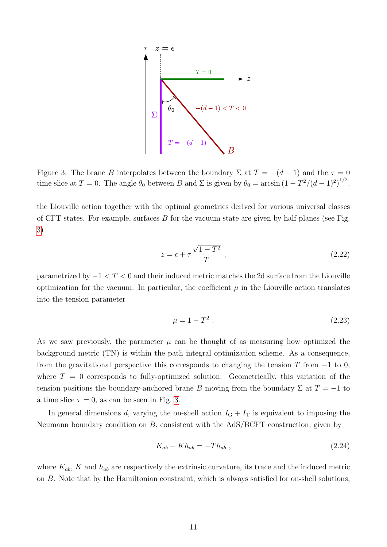<span id="page-10-0"></span>

Figure 3: The brane B interpolates between the boundary  $\Sigma$  at  $T = -(d-1)$  and the  $\tau = 0$ time slice at  $T = 0$ . The angle  $\theta_0$  between B and  $\Sigma$  is given by  $\theta_0 = \arcsin(1 - T^2/(d-1)^2)^{1/2}$ .

the Liouville action together with the optimal geometries derived for various universal classes of CFT states. For example, surfaces  $B$  for the vacuum state are given by half-planes (see Fig. [3\)](#page-10-0)

$$
z = \epsilon + \tau \frac{\sqrt{1 - T^2}}{T} \,, \tag{2.22}
$$

parametrized by  $-1 < T < 0$  and their induced metric matches the 2d surface from the Liouville optimization for the vacuum. In particular, the coefficient  $\mu$  in the Liouville action translates into the tension parameter

<span id="page-10-2"></span>
$$
\mu = 1 - T^2 \tag{2.23}
$$

As we saw previously, the parameter  $\mu$  can be thought of as measuring how optimized the background metric (TN) is within the path integral optimization scheme. As a consequence, from the gravitational perspective this corresponds to changing the tension T from  $-1$  to 0, where  $T = 0$  corresponds to fully-optimized solution. Geometrically, this variation of the tension positions the boundary-anchored brane B moving from the boundary  $\Sigma$  at  $T = -1$  to a time slice  $\tau = 0$ , as can be seen in Fig. [3.](#page-10-0)

In general dimensions d, varying the on-shell action  $I<sub>G</sub> + I<sub>T</sub>$  is equivalent to imposing the Neumann boundary condition on B, consistent with the AdS/BCFT construction, given by

<span id="page-10-1"></span>
$$
K_{ab} - Kh_{ab} = -Th_{ab} , \qquad (2.24)
$$

where  $K_{ab}$ , K and  $h_{ab}$  are respectively the extrinsic curvature, its trace and the induced metric on B. Note that by the Hamiltonian constraint, which is always satisfied for on-shell solutions,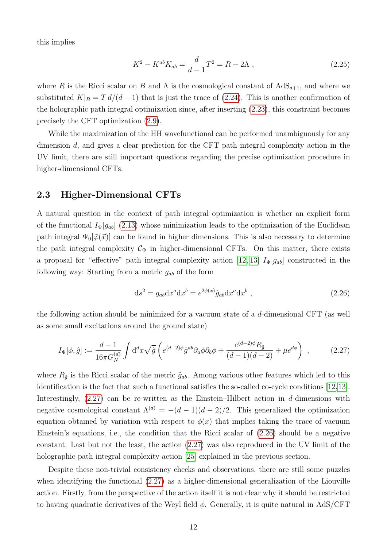this implies

$$
K^2 - K^{ab} K_{ab} = \frac{d}{d-1} T^2 = R - 2\Lambda , \qquad (2.25)
$$

where R is the Ricci scalar on B and  $\Lambda$  is the cosmological constant of  $AdS_{d+1}$ , and where we substituted  $K|_B = T d/(d-1)$  that is just the trace of [\(2.24\)](#page-10-1). This is another confirmation of the holographic path integral optimization since, after inserting [\(2.23\)](#page-10-2), this constraint becomes precisely the CFT optimization [\(2.9\)](#page-6-3).

While the maximization of the HH wavefunctional can be performed unambiguously for any dimension d, and gives a clear prediction for the CFT path integral complexity action in the UV limit, there are still important questions regarding the precise optimization procedure in higher-dimensional CFTs.

#### <span id="page-11-0"></span>2.3 Higher-Dimensional CFTs

A natural question in the context of path integral optimization is whether an explicit form of the functional  $I_{\Psi}[g_{ab}]$  [\(2.13\)](#page-7-1) whose minimization leads to the optimization of the Euclidean path integral  $\Psi_0[\tilde{\varphi}(\vec{x})]$  can be found in higher dimensions. This is also necessary to determine the path integral complexity  $\mathcal{C}_{\Psi}$  in higher-dimensional CFTs. On this matter, there exists a proposal for "effective" path integral complexity action [\[12,](#page-33-3) [13\]](#page-33-4)  $I_{\Psi}[g_{ab}]$  constructed in the following way: Starting from a metric  $g_{ab}$  of the form

<span id="page-11-2"></span><span id="page-11-1"></span>
$$
ds2 = gab dxa dxb = e2\phi(x) \hat{g}_{ab} dxa dxb , \qquad (2.26)
$$

the following action should be minimized for a vacuum state of a d-dimensional CFT (as well as some small excitations around the ground state)

$$
I_{\Psi}[\phi,\hat{g}] := \frac{d-1}{16\pi G_N^{(d)}} \int \mathrm{d}^d x \sqrt{\hat{g}} \left( e^{(d-2)\phi} \hat{g}^{ab} \partial_a \phi \partial_b \phi + \frac{e^{(d-2)\phi} R_{\hat{g}}}{(d-1)(d-2)} + \mu e^{d\phi} \right) ,\qquad (2.27)
$$

where  $R_{\hat{q}}$  is the Ricci scalar of the metric  $\hat{g}_{ab}$ . Among various other features which led to this identification is the fact that such a functional satisfies the so-called co-cycle conditions [\[12,](#page-33-3)[13\]](#page-33-4). Interestingly,  $(2.27)$  can be re-written as the Einstein–Hilbert action in d-dimensions with negative cosmological constant  $\Lambda^{(d)} = -(d-1)(d-2)/2$ . This generalized the optimization equation obtained by variation with respect to  $\phi(x)$  that implies taking the trace of vacuum Einstein's equations, i.e., the condition that the Ricci scalar of [\(2.26\)](#page-11-2) should be a negative constant. Last but not the least, the action [\(2.27\)](#page-11-1) was also reproduced in the UV limit of the holographic path integral complexity action [\[25\]](#page-34-1) explained in the previous section.

Despite these non-trivial consistency checks and observations, there are still some puzzles when identifying the functional [\(2.27\)](#page-11-1) as a higher-dimensional generalization of the Liouville action. Firstly, from the perspective of the action itself it is not clear why it should be restricted to having quadratic derivatives of the Weyl field  $\phi$ . Generally, it is quite natural in AdS/CFT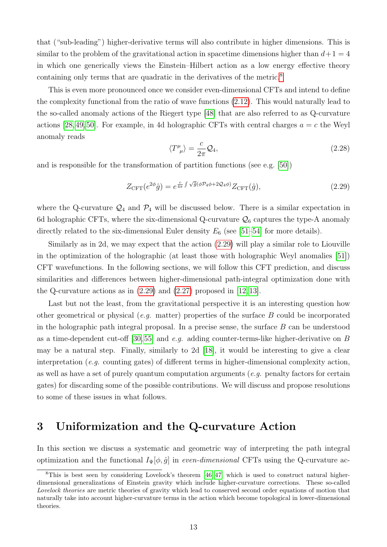that ("sub-leading") higher-derivative terms will also contribute in higher dimensions. This is similar to the problem of the gravitational action in spacetime dimensions higher than  $d+1=4$ in which one generically views the Einstein–Hilbert action as a low energy effective theory containing only terms that are quadratic in the derivatives of the metric.<sup>[8](#page-12-1)</sup>

This is even more pronounced once we consider even-dimensional CFTs and intend to define the complexity functional from the ratio of wave functions [\(2.12\)](#page-7-2). This would naturally lead to the so-called anomaly actions of the Riegert type [\[48\]](#page-35-6) that are also referred to as Q-curvature actions [\[28,](#page-34-4) [49,](#page-35-7) [50\]](#page-35-8). For example, in 4d holographic CFTs with central charges  $a = c$  the Weyl anomaly reads

$$
\langle T^{\mu}_{\ \mu} \rangle = \frac{c}{2\pi} \mathcal{Q}_4,\tag{2.28}
$$

and is responsible for the transformation of partition functions (see e.g. [\[50\]](#page-35-8))

<span id="page-12-2"></span>
$$
Z_{\text{CFT}}(e^{2\phi}\hat{g}) = e^{\frac{c}{4\pi} \int \sqrt{\hat{g}}(\phi \mathcal{P}_4 \phi + 2\mathcal{Q}_4 \phi)} Z_{\text{CFT}}(\hat{g}),\tag{2.29}
$$

where the Q-curvature  $\mathcal{Q}_4$  and  $\mathcal{P}_4$  will be discussed below. There is a similar expectation in 6d holographic CFTs, where the six-dimensional Q-curvature  $\mathcal{Q}_6$  captures the type-A anomaly directly related to the six-dimensional Euler density  $E_6$  (see [\[51–](#page-35-9)[54\]](#page-35-10) for more details).

Similarly as in 2d, we may expect that the action [\(2.29\)](#page-12-2) will play a similar role to Liouville in the optimization of the holographic (at least those with holographic Weyl anomalies [\[51\]](#page-35-9)) CFT wavefunctions. In the following sections, we will follow this CFT prediction, and discuss similarities and differences between higher-dimensional path-integral optimization done with the Q-curvature actions as in  $(2.29)$  and  $(2.27)$  proposed in  $[12, 13]$  $[12, 13]$ .

Last but not the least, from the gravitational perspective it is an interesting question how other geometrical or physical (e.g. matter) properties of the surface B could be incorporated in the holographic path integral proposal. In a precise sense, the surface  $B$  can be understood as a time-dependent cut-off  $[30, 55]$  $[30, 55]$  and e.g. adding counter-terms-like higher-derivative on B may be a natural step. Finally, similarly to 2d [\[18\]](#page-33-9), it would be interesting to give a clear interpretation (e.g. counting gates) of different terms in higher-dimensional complexity action, as well as have a set of purely quantum computation arguments  $(e.g.$  penalty factors for certain gates) for discarding some of the possible contributions. We will discuss and propose resolutions to some of these issues in what follows.

## <span id="page-12-0"></span>3 Uniformization and the Q-curvature Action

In this section we discuss a systematic and geometric way of interpreting the path integral optimization and the functional  $I_{\Psi}[\phi, \hat{g}]$  in *even-dimensional* CFTs using the Q-curvature ac-

<span id="page-12-1"></span><sup>&</sup>lt;sup>8</sup>This is best seen by considering Lovelock's theorem  $[46, 47]$  $[46, 47]$  which is used to construct natural higherdimensional generalizations of Einstein gravity which include higher-curvature corrections. These so-called Lovelock theories are metric theories of gravity which lead to conserved second order equations of motion that naturally take into account higher-curvature terms in the action which become topological in lower-dimensional theories.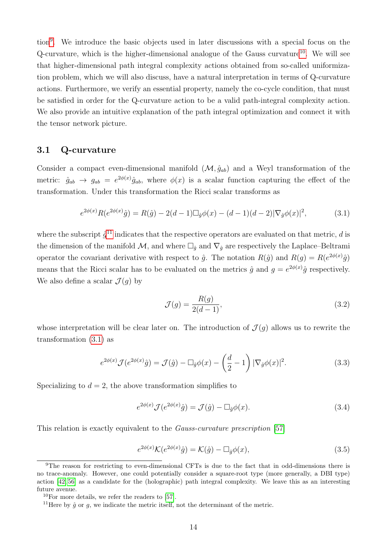tion[9](#page-13-1) . We introduce the basic objects used in later discussions with a special focus on the Q-curvature, which is the higher-dimensional analogue of the Gauss curvature<sup>[10](#page-13-2)</sup>. We will see that higher-dimensional path integral complexity actions obtained from so-called uniformization problem, which we will also discuss, have a natural interpretation in terms of Q-curvature actions. Furthermore, we verify an essential property, namely the co-cycle condition, that must be satisfied in order for the Q-curvature action to be a valid path-integral complexity action. We also provide an intuitive explanation of the path integral optimization and connect it with the tensor network picture.

#### <span id="page-13-0"></span>3.1 Q-curvature

Consider a compact even-dimensional manifold  $(\mathcal{M}, \hat{g}_{ab})$  and a Weyl transformation of the metric:  $\hat{g}_{ab} \to g_{ab} = e^{2\phi(x)} \hat{g}_{ab}$ , where  $\phi(x)$  is a scalar function capturing the effect of the transformation. Under this transformation the Ricci scalar transforms as

$$
e^{2\phi(x)}R(e^{2\phi(x)}\hat{g}) = R(\hat{g}) - 2(d-1)\Box_{\hat{g}}\phi(x) - (d-1)(d-2)|\nabla_{\hat{g}}\phi(x)|^2, \tag{3.1}
$$

where the subscript  $\hat{g}^{11}$  $\hat{g}^{11}$  $\hat{g}^{11}$  indicates that the respective operators are evaluated on that metric, d is the dimension of the manifold  $\mathcal{M}$ , and where  $\Box_{\hat{g}}$  and  $\nabla_{\hat{g}}$  are respectively the Laplace–Beltrami operator the covariant derivative with respect to  $\hat{g}$ . The notation  $R(\hat{g})$  and  $R(g) = R(e^{2\phi(x)}\hat{g})$ means that the Ricci scalar has to be evaluated on the metrics  $\hat{g}$  and  $g = e^{2\phi(x)}\hat{g}$  respectively. We also define a scalar  $\mathcal{J}(g)$  by

<span id="page-13-6"></span><span id="page-13-5"></span><span id="page-13-4"></span>
$$
\mathcal{J}(g) = \frac{R(g)}{2(d-1)},\tag{3.2}
$$

whose interpretation will be clear later on. The introduction of  $\mathcal{J}(g)$  allows us to rewrite the transformation [\(3.1\)](#page-13-4) as

$$
e^{2\phi(x)}\mathcal{J}(e^{2\phi(x)}\hat{g}) = \mathcal{J}(\hat{g}) - \Box_{\hat{g}}\phi(x) - \left(\frac{d}{2} - 1\right)|\nabla_{\hat{g}}\phi(x)|^2.
$$
 (3.3)

Specializing to  $d = 2$ , the above transformation simplifies to

$$
e^{2\phi(x)}\mathcal{J}(e^{2\phi(x)}\hat{g}) = \mathcal{J}(\hat{g}) - \Box_{\hat{g}}\phi(x). \tag{3.4}
$$

This relation is exactly equivalent to the Gauss-curvature prescription [\[57\]](#page-36-0)

<span id="page-13-7"></span>
$$
e^{2\phi(x)}\mathcal{K}(e^{2\phi(x)}\hat{g}) = \mathcal{K}(\hat{g}) - \Box_{\hat{g}}\phi(x),\tag{3.5}
$$

<span id="page-13-1"></span><sup>9</sup>The reason for restricting to even-dimensional CFTs is due to the fact that in odd-dimensions there is no trace-anomaly. However, one could potentially consider a square-root type (more generally, a DBI type) action [\[42,](#page-35-3) [56\]](#page-35-14) as a candidate for the (holographic) path integral complexity. We leave this as an interesting future avenue.

<span id="page-13-2"></span> $10$ For more details, we refer the readers to [\[57\]](#page-36-0).

<span id="page-13-3"></span><sup>&</sup>lt;sup>11</sup>Here by  $\hat{g}$  or  $g$ , we indicate the metric itself, not the determinant of the metric.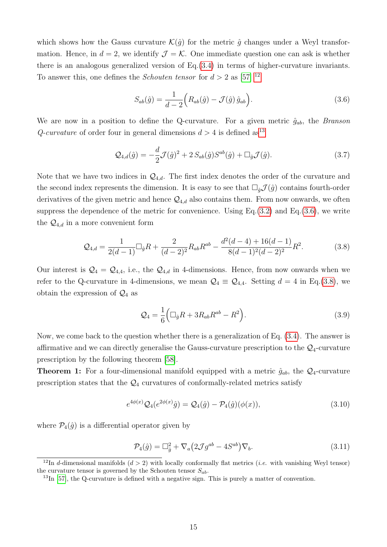which shows how the Gauss curvature  $\mathcal{K}(\hat{g})$  for the metric  $\hat{g}$  changes under a Weyl transformation. Hence, in  $d = 2$ , we identify  $\mathcal{J} = \mathcal{K}$ . One immediate question one can ask is whether there is an analogous generalized version of Eq.[\(3.4\)](#page-13-5) in terms of higher-curvature invariants. To answer this, one defines the *Schouten tensor* for  $d > 2$  as [\[57\]](#page-36-0) <sup>[12](#page-14-0)</sup>

<span id="page-14-6"></span><span id="page-14-2"></span>
$$
S_{ab}(\hat{g}) = \frac{1}{d-2} \Big( R_{ab}(\hat{g}) - \mathcal{J}(\hat{g}) \,\hat{g}_{ab} \Big). \tag{3.6}
$$

We are now in a position to define the Q-curvature. For a given metric  $\hat{g}_{ab}$ , the *Branson* Q-curvature of order four in general dimensions  $d > 4$  is defined as<sup>[13](#page-14-1)</sup>

$$
\mathcal{Q}_{4,d}(\hat{g}) = -\frac{d}{2}\mathcal{J}(\hat{g})^2 + 2S_{ab}(\hat{g})S^{ab}(\hat{g}) + \Box_{\hat{g}}\mathcal{J}(\hat{g}).\tag{3.7}
$$

Note that we have two indices in  $\mathcal{Q}_{4,d}$ . The first index denotes the order of the curvature and the second index represents the dimension. It is easy to see that  $\Box_{\hat{q}}\mathcal{J}(\hat{g})$  contains fourth-order derivatives of the given metric and hence  $\mathcal{Q}_{4,d}$  also contains them. From now onwards, we often suppress the dependence of the metric for convenience. Using  $Eq.(3.2)$  $Eq.(3.2)$  and  $Eq.(3.6)$  $Eq.(3.6)$ , we write the  $\mathcal{Q}_{4,d}$  in a more convenient form

$$
\mathcal{Q}_{4,d} = \frac{1}{2(d-1)} \Box_{\hat{g}} R + \frac{2}{(d-2)^2} R_{ab} R^{ab} - \frac{d^2(d-4) + 16(d-1)}{8(d-1)^2(d-2)^2} R^2.
$$
 (3.8)

Our interest is  $\mathcal{Q}_4 = \mathcal{Q}_{4,4}$ , i.e., the  $\mathcal{Q}_{4,d}$  in 4-dimensions. Hence, from now onwards when we refer to the Q-curvature in 4-dimensions, we mean  $\mathcal{Q}_4 \equiv \mathcal{Q}_{4,4}$ . Setting  $d = 4$  in Eq.[\(3.8\)](#page-14-3), we obtain the expression of  $\mathcal{Q}_4$  as

<span id="page-14-3"></span>
$$
\mathcal{Q}_4 = \frac{1}{6} \left( \Box_{\hat{g}} R + 3R_{ab} R^{ab} - R^2 \right). \tag{3.9}
$$

Now, we come back to the question whether there is a generalization of Eq. [\(3.4\)](#page-13-5). The answer is affirmative and we can directly generalise the Gauss-curvature prescription to the  $\mathcal{Q}_4$ -curvature prescription by the following theorem [\[58\]](#page-36-1).

**Theorem 1:** For a four-dimensional manifold equipped with a metric  $\hat{g}_{ab}$ , the  $\mathcal{Q}_4$ -curvature prescription states that the  $\mathcal{Q}_4$  curvatures of conformally-related metrics satisfy

$$
e^{4\phi(x)}Q_4(e^{2\phi(x)}\hat{g}) = Q_4(\hat{g}) - \mathcal{P}_4(\hat{g})(\phi(x)),\tag{3.10}
$$

where  $\mathcal{P}_4(\hat{g})$  is a differential operator given by

<span id="page-14-5"></span><span id="page-14-4"></span>
$$
\mathcal{P}_4(\hat{g}) = \Box_{\hat{g}}^2 + \nabla_a \left( 2\mathcal{J}g^{ab} - 4S^{ab} \right) \nabla_b.
$$
\n(3.11)

<span id="page-14-0"></span><sup>&</sup>lt;sup>12</sup>In d-dimensional manifolds  $(d > 2)$  with locally conformally flat metrics *(i.e.* with vanishing Weyl tensor) the curvature tensor is governed by the Schouten tensor  $S_{ab}$ .

<span id="page-14-1"></span> $^{13}$ In [\[57\]](#page-36-0), the Q-curvature is defined with a negative sign. This is purely a matter of convention.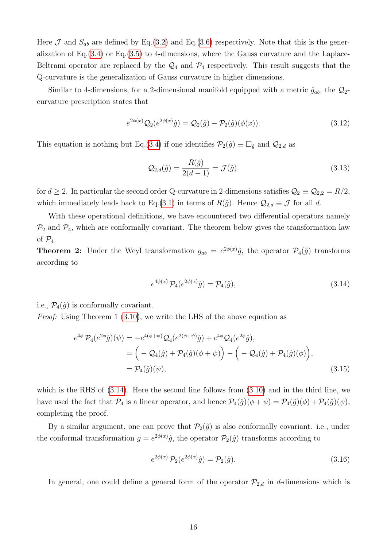Here  $\mathcal J$  and  $S_{ab}$  are defined by Eq.[\(3.2\)](#page-13-6) and Eq.[\(3.6\)](#page-14-2) respectively. Note that this is the generalization of Eq. $(3.4)$  or Eq. $(3.5)$  to 4-dimensions, where the Gauss curvature and the Laplace-Beltrami operator are replaced by the  $\mathcal{Q}_4$  and  $\mathcal{P}_4$  respectively. This result suggests that the Q-curvature is the generalization of Gauss curvature in higher dimensions.

Similar to 4-dimensions, for a 2-dimensional manifold equipped with a metric  $\hat{g}_{ab}$ , the  $\mathcal{Q}_2$ curvature prescription states that

$$
e^{2\phi(x)}Q_2(e^{2\phi(x)}\hat{g}) = Q_2(\hat{g}) - \mathcal{P}_2(\hat{g})(\phi(x)).
$$
\n(3.12)

This equation is nothing but Eq.[\(3.4\)](#page-13-5) if one identifies  $\mathcal{P}_2(\hat{g}) \equiv \Box_{\hat{g}}$  and  $\mathcal{Q}_{2,d}$  as

<span id="page-15-2"></span>
$$
Q_{2,d}(\hat{g}) = \frac{R(\hat{g})}{2(d-1)} = \mathcal{J}(\hat{g}).
$$
\n(3.13)

for  $d \geq 2$ . In particular the second order Q-curvature in 2-dimensions satisfies  $\mathcal{Q}_2 \equiv \mathcal{Q}_{2,2} = R/2$ , which immediately leads back to Eq.[\(3.1\)](#page-13-4) in terms of  $R(\hat{g})$ . Hence  $\mathcal{Q}_{2,d} \equiv \mathcal{J}$  for all d.

With these operational definitions, we have encountered two differential operators namely  $\mathcal{P}_2$  and  $\mathcal{P}_4$ , which are conformally covariant. The theorem below gives the transformation law of  $\mathcal{P}_4$ .

**Theorem 2:** Under the Weyl transformation  $g_{ab} = e^{2\phi(x)}\hat{g}$ , the operator  $\mathcal{P}_4(\hat{g})$  transforms according to

<span id="page-15-0"></span>
$$
e^{4\phi(x)} \mathcal{P}_4(e^{2\phi(x)}\hat{g}) = \mathcal{P}_4(\hat{g}), \tag{3.14}
$$

i.e.,  $\mathcal{P}_4(\hat{g})$  is conformally covariant.

Proof: Using Theorem 1 [\(3.10\)](#page-14-4), we write the LHS of the above equation as

$$
e^{4\phi} \mathcal{P}_4(e^{2\phi}\hat{g})(\psi) = -e^{4(\phi+\psi)} \mathcal{Q}_4(e^{2(\phi+\psi)}\hat{g}) + e^{4\phi} \mathcal{Q}_4(e^{2\phi}\hat{g}),
$$
  
= 
$$
\left(-\mathcal{Q}_4(\hat{g}) + \mathcal{P}_4(\hat{g})(\phi+\psi)\right) - \left(-\mathcal{Q}_4(\hat{g}) + \mathcal{P}_4(\hat{g})(\phi)\right),
$$
  
= 
$$
\mathcal{P}_4(\hat{g})(\psi),
$$
 (3.15)

which is the RHS of [\(3.14\)](#page-15-0). Here the second line follows from [\(3.10\)](#page-14-4) and in the third line, we have used the fact that  $\mathcal{P}_4$  is a linear operator, and hence  $\mathcal{P}_4(\hat{g})(\phi + \psi) = \mathcal{P}_4(\hat{g})(\phi) + \mathcal{P}_4(\hat{g})(\psi)$ , completing the proof.

By a similar argument, one can prove that  $\mathcal{P}_2(\hat{g})$  is also conformally covariant. i.e., under the conformal transformation  $g = e^{2\phi(x)}\hat{g}$ , the operator  $\mathcal{P}_2(\hat{g})$  transforms according to

<span id="page-15-1"></span>
$$
e^{2\phi(x)} \mathcal{P}_2(e^{2\phi(x)}\hat{g}) = \mathcal{P}_2(\hat{g}). \tag{3.16}
$$

In general, one could define a general form of the operator  $\mathcal{P}_{2,d}$  in d-dimensions which is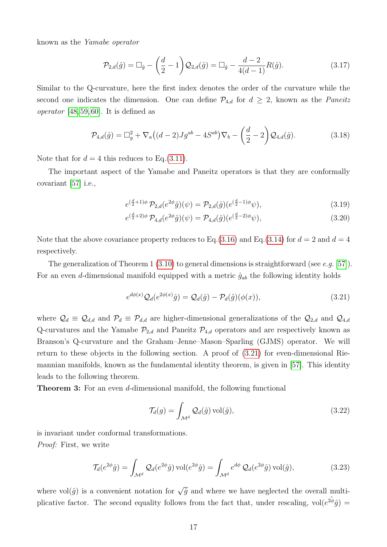known as the Yamabe operator

$$
\mathcal{P}_{2,d}(\hat{g}) = \Box_{\hat{g}} - \left(\frac{d}{2} - 1\right) \mathcal{Q}_{2,d}(\hat{g}) = \Box_{\hat{g}} - \frac{d-2}{4(d-1)} R(\hat{g}).\tag{3.17}
$$

Similar to the Q-curvature, here the first index denotes the order of the curvature while the second one indicates the dimension. One can define  $\mathcal{P}_{4,d}$  for  $d \geq 2$ , known as the *Paneitz* operator [\[48,](#page-35-6) [59,](#page-36-2) [60\]](#page-36-3). It is defined as

$$
\mathcal{P}_{4,d}(\hat{g}) = \Box_g^2 + \nabla_a ((d-2)Jg^{ab} - 4S^{ab}) \nabla_b - \left(\frac{d}{2} - 2\right) \mathcal{Q}_{4,d}(\hat{g}). \tag{3.18}
$$

Note that for  $d = 4$  this reduces to Eq.[\(3.11\)](#page-14-5).

The important aspect of the Yamabe and Paneitz operators is that they are conformally covariant [\[57\]](#page-36-0) i.e.,

$$
e^{(\frac{d}{2}+1)\phi} \mathcal{P}_{2,d}(e^{2\phi}\hat{g})(\psi) = \mathcal{P}_{2,d}(\hat{g})(e^{(\frac{d}{2}-1)\phi}\psi), \tag{3.19}
$$

$$
e^{(\frac{d}{2}+2)\phi} \mathcal{P}_{4,d}(e^{2\phi}\hat{g})(\psi) = \mathcal{P}_{4,d}(\hat{g})(e^{(\frac{d}{2}-2)\phi}\psi), \tag{3.20}
$$

Note that the above covariance property reduces to Eq.[\(3.16\)](#page-15-1) and Eq.[\(3.14\)](#page-15-0) for  $d = 2$  and  $d = 4$ respectively.

The generalization of Theorem 1 [\(3.10\)](#page-14-4) to general dimensions is straightforward (see e.g. [\[57\]](#page-36-0)). For an even d-dimensional manifold equipped with a metric  $\hat{g}_{ab}$  the following identity holds

<span id="page-16-0"></span>
$$
e^{d\phi(x)}Q_d(e^{2\phi(x)}\hat{g}) = Q_d(\hat{g}) - \mathcal{P}_d(\hat{g})(\phi(x)),\tag{3.21}
$$

where  $\mathcal{Q}_d \equiv \mathcal{Q}_{d,d}$  and  $\mathcal{P}_d \equiv \mathcal{P}_{d,d}$  are higher-dimensional generalizations of the  $\mathcal{Q}_{2,d}$  and  $\mathcal{Q}_{4,d}$ Q-curvatures and the Yamabe  $\mathcal{P}_{2,d}$  and Paneitz  $\mathcal{P}_{4,d}$  operators and are respectively known as Branson's Q-curvature and the Graham–Jenne–Mason–Sparling (GJMS) operator. We will return to these objects in the following section. A proof of [\(3.21\)](#page-16-0) for even-dimensional Riemannian manifolds, known as the fundamental identity theorem, is given in [\[57\]](#page-36-0). This identity leads to the following theorem.

Theorem 3: For an even d-dimensional manifold, the following functional

<span id="page-16-1"></span>
$$
\mathcal{T}_d(g) = \int_{\mathcal{M}^d} \mathcal{Q}_d(\hat{g}) \operatorname{vol}(\hat{g}),\tag{3.22}
$$

is invariant under conformal transformations. Proof: First, we write

$$
\mathcal{T}_d(e^{2\phi}\hat{g}) = \int_{\mathcal{M}^d} \mathcal{Q}_d(e^{2\phi}\hat{g}) \operatorname{vol}(e^{2\phi}\hat{g}) = \int_{\mathcal{M}^d} e^{d\phi} \mathcal{Q}_d(e^{2\phi}\hat{g}) \operatorname{vol}(\hat{g}),\tag{3.23}
$$

where vol $(\hat{g})$  is a convenient notation for  $\sqrt{\hat{g}}$  and where we have neglected the overall multiplicative factor. The second equality follows from the fact that, under rescaling,  $vol(e^{2\hat{\phi}}\hat{g})$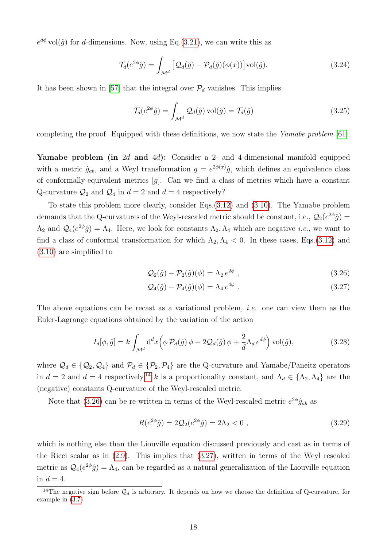$e^{d\phi}$  vol $(\hat{g})$  for d-dimensions. Now, using Eq.[\(3.21\)](#page-16-0), we can write this as

$$
\mathcal{T}_d(e^{2\phi}\hat{g}) = \int_{\mathcal{M}^d} \left[ \mathcal{Q}_d(\hat{g}) - \mathcal{P}_d(\hat{g})(\phi(x)) \right] \text{vol}(\hat{g}). \tag{3.24}
$$

It has been shown in [\[57\]](#page-36-0) that the integral over  $\mathcal{P}_d$  vanishes. This implies

$$
\mathcal{T}_d(e^{2\phi}\hat{g}) = \int_{\mathcal{M}^d} \mathcal{Q}_d(\hat{g}) \operatorname{vol}(\hat{g}) = \mathcal{T}_d(\hat{g})
$$
\n(3.25)

completing the proof. Equipped with these definitions, we now state the Yamabe problem [\[61\]](#page-36-4).

Yamabe problem (in 2d and 4d): Consider a 2- and 4-dimensional manifold equipped with a metric  $\hat{g}_{ab}$ , and a Weyl transformation  $g = e^{2\phi(x)}\hat{g}$ , which defines an equivalence class of conformally-equivalent metrics  $[g]$ . Can we find a class of metrics which have a constant Q-curvature  $\mathcal{Q}_2$  and  $\mathcal{Q}_4$  in  $d = 2$  and  $d = 4$  respectively?

To state this problem more clearly, consider Eqs.[\(3.12\)](#page-15-2) and [\(3.10\)](#page-14-4). The Yamabe problem demands that the Q-curvatures of the Weyl-rescaled metric should be constant, i.e.,  $\mathcal{Q}_2(e^{2\phi}\hat{g}) =$  $\Lambda_2$  and  $\mathcal{Q}_4(e^{2\phi}\hat{g}) = \Lambda_4$ . Here, we look for constants  $\Lambda_2, \Lambda_4$  which are negative *i.e.*, we want to find a class of conformal transformation for which  $\Lambda_2, \Lambda_4 < 0$ . In these cases, Eqs.[\(3.12\)](#page-15-2) and [\(3.10\)](#page-14-4) are simplified to

<span id="page-17-2"></span><span id="page-17-1"></span>
$$
\mathcal{Q}_2(\hat{g}) - \mathcal{P}_2(\hat{g})(\phi) = \Lambda_2 e^{2\phi} , \qquad (3.26)
$$

$$
\mathcal{Q}_4(\hat{g}) - \mathcal{P}_4(\hat{g})(\phi) = \Lambda_4 e^{4\phi} \tag{3.27}
$$

The above equations can be recast as a variational problem, *i.e.* one can view them as the Euler-Lagrange equations obtained by the variation of the action

$$
I_d[\phi, \hat{g}] = k \int_{\mathcal{M}^d} d^d x \Big( \phi \, \mathcal{P}_d(\hat{g}) \, \phi - 2 \mathcal{Q}_d(\hat{g}) \, \phi + \frac{2}{d} \Lambda_d \, e^{d\phi} \Big) \, \text{vol}(\hat{g}), \tag{3.28}
$$

where  $\mathcal{Q}_d \in \{\mathcal{Q}_2, \mathcal{Q}_4\}$  and  $\mathcal{P}_d \in \{\mathcal{P}_2, \mathcal{P}_4\}$  are the Q-curvature and Yamabe/Paneitz operators in  $d = 2$  and  $d = 4$  respectively,<sup>[14](#page-17-0)</sup> k is a proportionality constant, and  $\Lambda_d \in {\Lambda_2, \Lambda_4}$  are the (negative) constants Q-curvature of the Weyl-rescaled metric.

Note that [\(3.26\)](#page-17-1) can be re-written in terms of the Weyl-rescaled metric  $e^{2\phi}\hat{g}_{ab}$  as

$$
R(e^{2\phi}\hat{g}) = 2\mathcal{Q}_2(e^{2\phi}\hat{g}) = 2\Lambda_2 < 0 \tag{3.29}
$$

which is nothing else than the Liouville equation discussed previously and cast as in terms of the Ricci scalar as in [\(2.9\)](#page-6-3). This implies that [\(3.27\)](#page-17-2), written in terms of the Weyl rescaled metric as  $\mathcal{Q}_4(e^{2\phi}\hat{g}) = \Lambda_4$ , can be regarded as a natural generalization of the Liouville equation in  $d = 4$ .

<span id="page-17-0"></span><sup>&</sup>lt;sup>14</sup>The negative sign before  $\mathcal{Q}_d$  is arbitrary. It depends on how we choose the definition of Q-curvature, for example in [\(3.7\)](#page-14-6).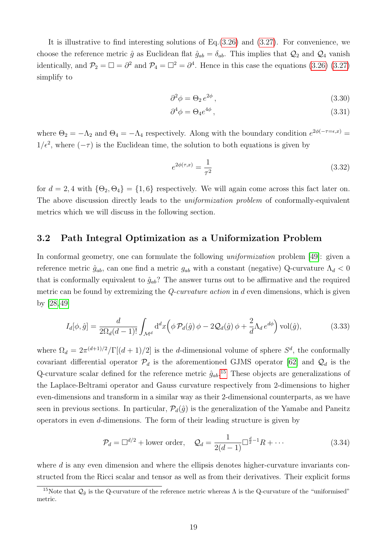It is illustrative to find interesting solutions of Eq.[\(3.26\)](#page-17-1) and [\(3.27\)](#page-17-2). For convenience, we choose the reference metric  $\hat{g}$  as Euclidean flat  $\hat{g}_{ab} = \delta_{ab}$ . This implies that  $\mathcal{Q}_2$  and  $\mathcal{Q}_4$  vanish identically, and  $\mathcal{P}_2 = \Box = \partial^2$  and  $\mathcal{P}_4 = \Box^2 = \partial^4$ . Hence in this case the equations [\(3.26\)](#page-17-1) [\(3.27\)](#page-17-2) simplify to

$$
\partial^2 \phi = \Theta_2 \, e^{2\phi} \,, \tag{3.30}
$$

$$
\partial^4 \phi = \Theta_4 e^{4\phi} \,, \tag{3.31}
$$

where  $\Theta_2 = -\Lambda_2$  and  $\Theta_4 = -\Lambda_4$  respectively. Along with the boundary condition  $e^{2\phi(-\tau-\epsilon,x)}$  $1/\epsilon^2$ , where  $(-\tau)$  is the Euclidean time, the solution to both equations is given by

<span id="page-18-2"></span>
$$
e^{2\phi(\tau,x)} = \frac{1}{\tau^2} \tag{3.32}
$$

for  $d = 2, 4$  with  $\{\Theta_2, \Theta_4\} = \{1, 6\}$  respectively. We will again come across this fact later on. The above discussion directly leads to the *uniformization problem* of conformally-equivalent metrics which we will discuss in the following section.

### <span id="page-18-0"></span>3.2 Path Integral Optimization as a Uniformization Problem

In conformal geometry, one can formulate the following uniformization problem [\[49\]](#page-35-7): given a reference metric  $\hat{g}_{ab}$ , can one find a metric  $g_{ab}$  with a constant (negative) Q-curvature  $\Lambda_d < 0$ that is conformally equivalent to  $\hat{g}_{ab}$ ? The answer turns out to be affirmative and the required metric can be found by extremizing the  $Q$ -curvature action in d even dimensions, which is given by [\[28,](#page-34-4) [49\]](#page-35-7)

$$
I_d[\phi, \hat{g}] = \frac{d}{2\Omega_d(d-1)!} \int_{\mathcal{M}^d} d^d x \Big(\phi \, \mathcal{P}_d(\hat{g}) \, \phi - 2 \mathcal{Q}_d(\hat{g}) \, \phi + \frac{2}{d} \Lambda_d \, e^{d\phi} \Big) \, \text{vol}(\hat{g}),\tag{3.33}
$$

where  $\Omega_d = 2\pi^{(d+1)/2}/\Gamma[(d+1)/2]$  is the d-dimensional volume of sphere  $S^d$ , the conformally covariant differential operator  $\mathcal{P}_d$  is the aforementioned GJMS operator [\[62\]](#page-36-5) and  $\mathcal{Q}_d$  is the Q-curvature scalar defined for the reference metric  $\hat{g}_{ab}$ <sup>[15](#page-18-1)</sup>. These objects are generalizations of the Laplace-Beltrami operator and Gauss curvature respectively from 2-dimensions to higher even-dimensions and transform in a similar way as their 2-dimensional counterparts, as we have seen in previous sections. In particular,  $\mathcal{P}_d(\hat{g})$  is the generalization of the Yamabe and Paneitz operators in even d-dimensions. The form of their leading structure is given by

<span id="page-18-3"></span>
$$
\mathcal{P}_d = \Box^{d/2} + \text{lower order}, \quad \mathcal{Q}_d = \frac{1}{2(d-1)} \Box^{\frac{d}{2}-1} R + \cdots \tag{3.34}
$$

where  $d$  is any even dimension and where the ellipsis denotes higher-curvature invariants constructed from the Ricci scalar and tensor as well as from their derivatives. Their explicit forms

<span id="page-18-1"></span><sup>&</sup>lt;sup>15</sup>Note that  $Q_{\hat{g}}$  is the Q-curvature of the reference metric whereas  $\Lambda$  is the Q-curvature of the "uniformised" metric.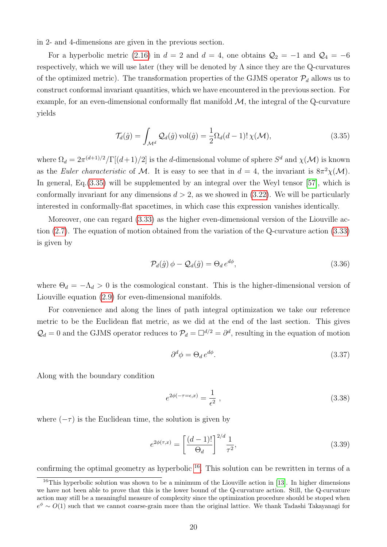in 2- and 4-dimensions are given in the previous section.

For a hyperbolic metric [\(2.16\)](#page-8-3) in  $d = 2$  and  $d = 4$ , one obtains  $\mathcal{Q}_2 = -1$  and  $\mathcal{Q}_4 = -6$ respectively, which we will use later (they will be denoted by  $\Lambda$  since they are the Q-curvatures of the optimized metric). The transformation properties of the GJMS operator  $\mathcal{P}_d$  allows us to construct conformal invariant quantities, which we have encountered in the previous section. For example, for an even-dimensional conformally flat manifold  $\mathcal{M}$ , the integral of the Q-curvature yields

<span id="page-19-0"></span>
$$
\mathcal{T}_d(\hat{g}) = \int_{\mathcal{M}^d} \mathcal{Q}_d(\hat{g}) \operatorname{vol}(\hat{g}) = \frac{1}{2} \Omega_d(d-1)! \chi(\mathcal{M}), \tag{3.35}
$$

where  $\Omega_d = 2\pi^{(d+1)/2}/\Gamma[(d+1)/2]$  is the *d*-dimensional volume of sphere  $S^d$  and  $\chi(\mathcal{M})$  is known as the Euler characteristic of M. It is easy to see that in  $d = 4$ , the invariant is  $8\pi^2 \chi(\mathcal{M})$ . In general, Eq.[\(3.35\)](#page-19-0) will be supplemented by an integral over the Weyl tensor [\[57\]](#page-36-0), which is conformally invariant for any dimensions  $d > 2$ , as we showed in  $(3.22)$ . We will be particularly interested in conformally-flat spacetimes, in which case this expression vanishes identically.

Moreover, one can regard [\(3.33\)](#page-18-2) as the higher even-dimensional version of the Liouville action [\(2.7\)](#page-5-3). The equation of motion obtained from the variation of the Q-curvature action [\(3.33\)](#page-18-2) is given by

<span id="page-19-2"></span>
$$
\mathcal{P}_d(\hat{g}) \phi - \mathcal{Q}_d(\hat{g}) = \Theta_d e^{d\phi},\tag{3.36}
$$

where  $\Theta_d = -\Lambda_d > 0$  is the cosmological constant. This is the higher-dimensional version of Liouville equation [\(2.9\)](#page-6-3) for even-dimensional manifolds.

For convenience and along the lines of path integral optimization we take our reference metric to be the Euclidean flat metric, as we did at the end of the last section. This gives  $\mathcal{Q}_d = 0$  and the GJMS operator reduces to  $\mathcal{P}_d = \Box^{d/2} = \partial^d$ , resulting in the equation of motion

<span id="page-19-4"></span><span id="page-19-3"></span>
$$
\partial^d \phi = \Theta_d \, e^{d\phi}.\tag{3.37}
$$

Along with the boundary condition

<span id="page-19-5"></span>
$$
e^{2\phi(-\tau=\epsilon,x)} = \frac{1}{\epsilon^2} \,, \tag{3.38}
$$

where  $(-\tau)$  is the Euclidean time, the solution is given by

$$
e^{2\phi(\tau,x)} = \left[\frac{(d-1)!}{\Theta_d}\right]^{2/d} \frac{1}{\tau^2},
$$
\n(3.39)

confirming the optimal geometry as hyperbolic  $^{16}$  $^{16}$  $^{16}$ . This solution can be rewritten in terms of a

<span id="page-19-1"></span><sup>&</sup>lt;sup>16</sup>This hyperbolic solution was shown to be a minimum of the Liouville action in [\[13\]](#page-33-4). In higher dimensions we have not been able to prove that this is the lower bound of the Q-curvature action. Still, the Q-curvature action may still be a meaningful measure of complexity since the optimization procedure should be stoped when  $e^{\phi} \sim O(1)$  such that we cannot coarse-grain more than the original lattice. We thank Tadashi Takayanagi for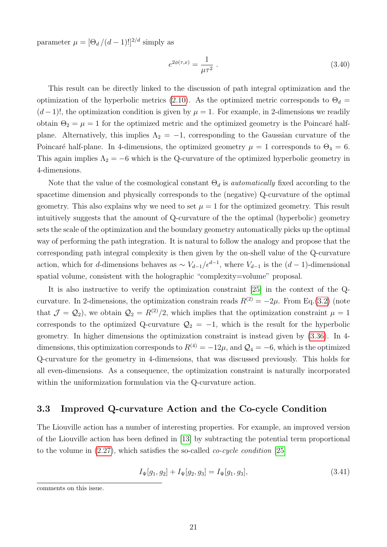parameter  $\mu = [\Theta_d/(d-1)!]^{2/d}$  simply as

<span id="page-20-2"></span>
$$
e^{2\phi(\tau,x)} = \frac{1}{\mu\tau^2} \tag{3.40}
$$

This result can be directly linked to the discussion of path integral optimization and the optimization of the hyperbolic metrics [\(2.10\)](#page-6-0). As the optimized metric corresponds to  $\Theta_d =$  $(d-1)!$ , the optimization condition is given by  $\mu = 1$ . For example, in 2-dimensions we readily obtain  $\Theta_2 = \mu = 1$  for the optimized metric and the optimized geometry is the Poincaré halfplane. Alternatively, this implies  $\Lambda_2 = -1$ , corresponding to the Gaussian curvature of the Poincaré half-plane. In 4-dimensions, the optimized geometry  $\mu = 1$  corresponds to  $\Theta_4 = 6$ . This again implies  $\Lambda_2 = -6$  which is the Q-curvature of the optimized hyperbolic geometry in 4-dimensions.

Note that the value of the cosmological constant  $\Theta_d$  is *automatically* fixed according to the spacetime dimension and physically corresponds to the (negative) Q-curvature of the optimal geometry. This also explains why we need to set  $\mu = 1$  for the optimized geometry. This result intuitively suggests that the amount of Q-curvature of the the optimal (hyperbolic) geometry sets the scale of the optimization and the boundary geometry automatically picks up the optimal way of performing the path integration. It is natural to follow the analogy and propose that the corresponding path integral complexity is then given by the on-shell value of the Q-curvature action, which for d-dimensions behaves as  $\sim V_{d-1}/\epsilon^{d-1}$ , where  $V_{d-1}$  is the  $(d-1)$ -dimensional spatial volume, consistent with the holographic "complexity=volume" proposal.

It is also instructive to verify the optimization constraint [\[25\]](#page-34-1) in the context of the Qcurvature. In 2-dimensions, the optimization constrain reads  $R^{(2)} = -2\mu$ . From Eq.[\(3.2\)](#page-13-6) (note that  $\mathcal{J} = \mathcal{Q}_2$ , we obtain  $\mathcal{Q}_2 = R^{(2)}/2$ , which implies that the optimization constraint  $\mu = 1$ corresponds to the optimized Q-curvature  $\mathcal{Q}_2 = -1$ , which is the result for the hyperbolic geometry. In higher dimensions the optimization constraint is instead given by [\(3.36\)](#page-19-2). In 4 dimensions, this optimization corresponds to  $R^{(4)} = -12\mu$ , and  $\mathcal{Q}_4 = -6$ , which is the optimized Q-curvature for the geometry in 4-dimensions, that was discussed previously. This holds for all even-dimensions. As a consequence, the optimization constraint is naturally incorporated within the uniformization formulation via the Q-curvature action.

#### <span id="page-20-0"></span>3.3 Improved Q-curvature Action and the Co-cycle Condition

The Liouville action has a number of interesting properties. For example, an improved version of the Liouville action has been defined in [\[13\]](#page-33-4) by subtracting the potential term proportional to the volume in  $(2.27)$ , which satisfies the so-called *co-cycle condition* [\[25\]](#page-34-1)

<span id="page-20-1"></span>
$$
I_{\Psi}[g_1, g_2] + I_{\Psi}[g_2, g_3] = I_{\Psi}[g_1, g_3], \qquad (3.41)
$$

comments on this issue.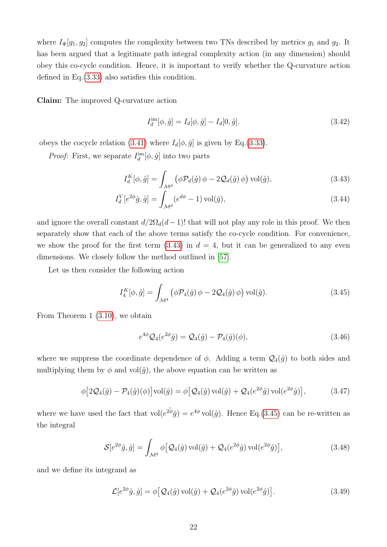where  $I_{\Psi}[g_1, g_2]$  computes the complexity between two TNs described by metrics  $g_1$  and  $g_2$ . It has been argued that a legitimate path integral complexity action (in any dimension) should obey this co-cycle condition. Hence, it is important to verify whether the Q-curvature action defined in Eq.[\(3.33\)](#page-18-2) also satisfies this condition.

Claim: The improved Q-curvature action

<span id="page-21-4"></span><span id="page-21-0"></span>
$$
I_d^{\text{im}}[\phi, \hat{g}] = I_d[\phi, \hat{g}] - I_d[0, \hat{g}]. \tag{3.42}
$$

obeys the cocycle relation [\(3.41\)](#page-20-1) where  $I_d[\phi, \hat{g}]$  is given by Eq.[\(3.33\)](#page-18-2).

*Proof:* First, we separate  $I_d^{\text{im}}[\phi, \hat{g}]$  into two parts

$$
I_d^K[\phi, \hat{g}] = \int_{\mathcal{M}^d} \left( \phi \mathcal{P}_d(\hat{g}) \phi - 2 \mathcal{Q}_d(\hat{g}) \phi \right) \text{vol}(\hat{g}), \tag{3.43}
$$

$$
I_d^V[e^{2\phi}\hat{g}, \hat{g}] = \int_{\mathcal{M}^d} (e^{d\phi} - 1) \operatorname{vol}(\hat{g}), \tag{3.44}
$$

and ignore the overall constant  $d/2\Omega_d(d-1)!$  that will not play any role in this proof. We then separately show that each of the above terms satisfy the co-cycle condition. For convenience, we show the proof for the first term  $(3.43)$  in  $d = 4$ , but it can be generalized to any even dimensions. We closely follow the method outlined in [\[57\]](#page-36-0).

Let us then consider the following action

$$
I_4^K[\phi, \hat{g}] = \int_{\mathcal{M}^4} \left( \phi \mathcal{P}_4(\hat{g}) \phi - 2 \mathcal{Q}_4(\hat{g}) \phi \right) \text{vol}(\hat{g}). \tag{3.45}
$$

From Theorem 1 [\(3.10\)](#page-14-4), we obtain

<span id="page-21-3"></span><span id="page-21-2"></span><span id="page-21-1"></span>
$$
e^{4\phi} Q_4(e^{2\phi}\hat{g}) = Q_4(\hat{g}) - \mathcal{P}_4(\hat{g})(\phi), \tag{3.46}
$$

where we suppress the coordinate dependence of  $\phi$ . Adding a term  $\mathcal{Q}_4(\hat{g})$  to both sides and multiplying them by  $\phi$  and vol $(\hat{g})$ , the above equation can be written as

$$
\phi \left[2\mathcal{Q}_4(\hat{g}) - \mathcal{P}_4(\hat{g})(\phi)\right] \text{vol}(\hat{g}) = \phi \left[\mathcal{Q}_4(\hat{g}) \text{vol}(\hat{g}) + \mathcal{Q}_4(e^{2\phi}\hat{g}) \text{vol}(e^{2\phi}\hat{g})\right],\tag{3.47}
$$

where we have used the fact that  $vol(e^{2\hat{\phi}}\hat{g}) = e^{4\phi} vol(\hat{g})$ . Hence Eq.[\(3.45\)](#page-21-1) can be re-written as the integral

$$
\mathcal{S}[e^{2\phi}\hat{g},\hat{g}] = \int_{\mathcal{M}^4} \phi\big[\mathcal{Q}_4(\hat{g})\,\text{vol}(\hat{g}) + \mathcal{Q}_4(e^{2\phi}\hat{g})\,\text{vol}(e^{2\phi}\hat{g})\big],\tag{3.48}
$$

and we define its integrand as

$$
\mathcal{L}[e^{2\phi}\hat{g},\hat{g}] = \phi\big[\mathcal{Q}_4(\hat{g})\,\text{vol}(\hat{g}) + \mathcal{Q}_4(e^{2\phi}\hat{g})\,\text{vol}(e^{2\phi}\hat{g})\big].\tag{3.49}
$$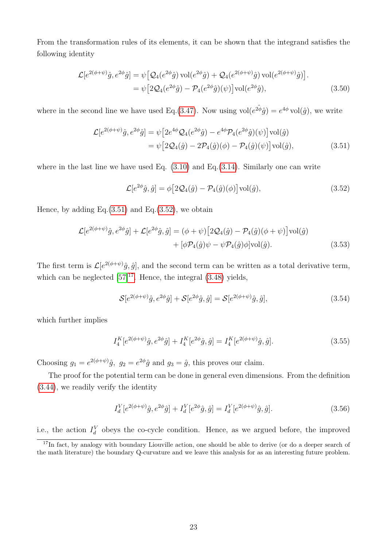From the transformation rules of its elements, it can be shown that the integrand satisfies the following identity

$$
\mathcal{L}[e^{2(\phi+\psi)}\hat{g}, e^{2\phi}\hat{g}] = \psi \left[ \mathcal{Q}_4(e^{2\phi}\hat{g}) \operatorname{vol}(e^{2\phi}\hat{g}) + \mathcal{Q}_4(e^{2(\phi+\psi)}\hat{g}) \operatorname{vol}(e^{2(\phi+\psi)}\hat{g}) \right].
$$
  
= 
$$
\psi \left[ 2\mathcal{Q}_4(e^{2\phi}\hat{g}) - \mathcal{P}_4(e^{2\phi}\hat{g})(\psi) \right] \operatorname{vol}(e^{2\phi}\hat{g}),
$$
 (3.50)

where in the second line we have used Eq.[\(3.47\)](#page-21-2). Now using  $vol(e^{2\hat{\phi}}\hat{g}) = e^{4\phi} vol(\hat{g})$ , we write

$$
\mathcal{L}[e^{2(\phi+\psi)}\hat{g}, e^{2\phi}\hat{g}] = \psi \left[2e^{4\phi}\mathcal{Q}_4(e^{2\phi}\hat{g}) - e^{4\phi}\mathcal{P}_4(e^{2\phi}\hat{g})(\psi)\right] \text{vol}(\hat{g})
$$
  

$$
= \psi \left[2\mathcal{Q}_4(\hat{g}) - 2\mathcal{P}_4(\hat{g})(\phi) - \mathcal{P}_4(\hat{g})(\psi)\right] \text{vol}(\hat{g}), \tag{3.51}
$$

where in the last line we have used Eq.  $(3.10)$  and Eq. $(3.14)$ . Similarly one can write

<span id="page-22-1"></span><span id="page-22-0"></span>
$$
\mathcal{L}[e^{2\phi}\hat{g},\hat{g}] = \phi[2\mathcal{Q}_4(\hat{g}) - \mathcal{P}_4(\hat{g})(\phi)]\text{vol}(\hat{g}),\tag{3.52}
$$

Hence, by adding Eq. $(3.51)$  and Eq. $(3.52)$ , we obtain

$$
\mathcal{L}[e^{2(\phi+\psi)}\hat{g}, e^{2\phi}\hat{g}] + \mathcal{L}[e^{2\phi}\hat{g}, \hat{g}] = (\phi+\psi)[2\mathcal{Q}_4(\hat{g}) - \mathcal{P}_4(\hat{g})(\phi+\psi)]\text{vol}(\hat{g}) + [\phi\mathcal{P}_4(\hat{g})\psi - \psi\mathcal{P}_4(\hat{g})\phi]\text{vol}(\hat{g}).
$$
\n(3.53)

The first term is  $\mathcal{L}[e^{2(\phi+\psi)}\hat{g},\hat{g}]$ , and the second term can be written as a total derivative term, which can be neglected  $[57]^{17}$  $[57]^{17}$  $[57]^{17}$ . Hence, the integral  $(3.48)$  yields,

$$
\mathcal{S}[e^{2(\phi+\psi)}\hat{g},e^{2\phi}\hat{g}] + \mathcal{S}[e^{2\phi}\hat{g},\hat{g}] = \mathcal{S}[e^{2(\phi+\psi)}\hat{g},\hat{g}],\tag{3.54}
$$

which further implies

$$
I_4^K[e^{2(\phi+\psi)}\hat{g}, e^{2\phi}\hat{g}] + I_4^K[e^{2\phi}\hat{g}, \hat{g}] = I_4^K[e^{2(\phi+\psi)}\hat{g}, \hat{g}].\tag{3.55}
$$

Choosing  $g_1 = e^{2(\phi + \psi)}\hat{g}$ ,  $g_2 = e^{2\phi}\hat{g}$  and  $g_3 = \hat{g}$ , this proves our claim.

The proof for the potential term can be done in general even dimensions. From the definition [\(3.44\)](#page-21-4), we readily verify the identity

$$
I_d^V[e^{2(\phi+\psi)}\hat{g}, e^{2\phi}\hat{g}] + I_d^V[e^{2\phi}\hat{g}, \hat{g}] = I_d^V[e^{2(\phi+\psi)}\hat{g}, \hat{g}].
$$
\n(3.56)

i.e., the action  $I_d^V$  obeys the co-cycle condition. Hence, as we argued before, the improved

<span id="page-22-2"></span> $17$ In fact, by analogy with boundary Liouville action, one should be able to derive (or do a deeper search of the math literature) the boundary Q-curvature and we leave this analysis for as an interesting future problem.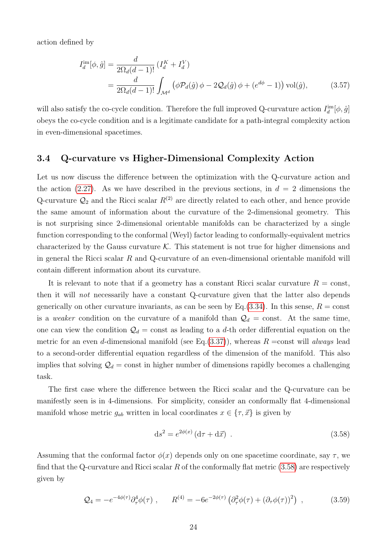action defined by

$$
I_d^{\text{im}}[\phi, \hat{g}] = \frac{d}{2\Omega_d(d-1)!} \left( I_d^K + I_d^V \right)
$$
  
= 
$$
\frac{d}{2\Omega_d(d-1)!} \int_{\mathcal{M}^d} \left( \phi \mathcal{P}_d(\hat{g}) \phi - 2\mathcal{Q}_d(\hat{g}) \phi + (e^{d\phi} - 1) \right) \text{vol}(\hat{g}),
$$
 (3.57)

will also satisfy the co-cycle condition. Therefore the full improved Q-curvature action  $I_d^{\text{im}}[\phi, \hat{g}]$ obeys the co-cycle condition and is a legitimate candidate for a path-integral complexity action in even-dimensional spacetimes.

#### <span id="page-23-0"></span>3.4 Q-curvature vs Higher-Dimensional Complexity Action

Let us now discuss the difference between the optimization with the Q-curvature action and the action [\(2.27\)](#page-11-1). As we have described in the previous sections, in  $d = 2$  dimensions the Q-curvature  $\mathcal{Q}_2$  and the Ricci scalar  $R^{(2)}$  are directly related to each other, and hence provide the same amount of information about the curvature of the 2-dimensional geometry. This is not surprising since 2-dimensional orientable manifolds can be characterized by a single function corresponding to the conformal (Weyl) factor leading to conformally-equivalent metrics characterized by the Gauss curvature  $K$ . This statement is not true for higher dimensions and in general the Ricci scalar  $R$  and  $Q$ -curvature of an even-dimensional orientable manifold will contain different information about its curvature.

It is relevant to note that if a geometry has a constant Ricci scalar curvature  $R = \text{const}$ , then it will not necessarily have a constant Q-curvature given that the latter also depends generically on other curvature invariants, as can be seen by Eq.  $(3.34)$ . In this sense,  $R = \text{const}$ is a weaker condition on the curvature of a manifold than  $\mathcal{Q}_d$  = const. At the same time, one can view the condition  $\mathcal{Q}_d$  = const as leading to a d-th order differential equation on the metric for an even d-dimensional manifold (see Eq.[\(3.37\)](#page-19-3)), whereas  $R = \text{const}$  will always lead to a second-order differential equation regardless of the dimension of the manifold. This also implies that solving  $\mathcal{Q}_d$  = const in higher number of dimensions rapidly becomes a challenging task.

The first case where the difference between the Ricci scalar and the Q-curvature can be manifestly seen is in 4-dimensions. For simplicity, consider an conformally flat 4-dimensional manifold whose metric  $g_{ab}$  written in local coordinates  $x \in {\tau, \vec{x}}$  is given by

<span id="page-23-1"></span>
$$
ds^{2} = e^{2\phi(x)} \left( d\tau + d\vec{x} \right) . \tag{3.58}
$$

Assuming that the conformal factor  $\phi(x)$  depends only on one spacetime coordinate, say  $\tau$ , we find that the Q-curvature and Ricci scalar R of the conformally flat metric  $(3.58)$  are respectively given by

$$
Q_4 = -e^{-4\phi(\tau)}\partial_{\tau}^4 \phi(\tau) , \qquad R^{(4)} = -6e^{-2\phi(\tau)} \left( \partial_{\tau}^2 \phi(\tau) + (\partial_{\tau} \phi(\tau))^2 \right) , \qquad (3.59)
$$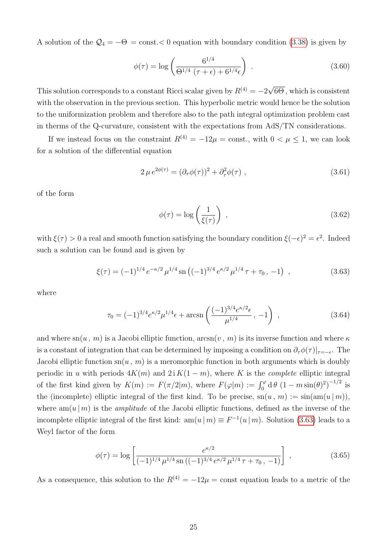A solution of the  $\mathcal{Q}_4 = -\Theta = \text{const.} < 0$  equation with boundary condition [\(3.38\)](#page-19-4) is given by

$$
\phi(\tau) = \log \left( \frac{6^{1/4}}{\Theta^{1/4} (\tau + \epsilon) + 6^{1/4} \epsilon} \right) \,. \tag{3.60}
$$

This solution corresponds to a constant Ricci scalar given by  $R^{(4)} = -2$ √ 6Θ , which is consistent with the observation in the previous section. This hyperbolic metric would hence be the solution to the uniformization problem and therefore also to the path integral optimization problem cast in therms of the Q-curvature, consistent with the expectations from AdS/TN considerations.

If we instead focus on the constraint  $R^{(4)} = -12\mu = \text{const.}$ , with  $0 \le \mu \le 1$ , we can look for a solution of the differential equation

$$
2\,\mu\,e^{2\phi(\tau)} = (\partial_\tau\phi(\tau))^2 + \partial_\tau^2\phi(\tau) \;, \tag{3.61}
$$

of the form

<span id="page-24-0"></span>
$$
\phi(\tau) = \log\left(\frac{1}{\xi(\tau)}\right) \tag{3.62}
$$

with  $\xi(\tau) > 0$  a real and smooth function satisfying the boundary condition  $\xi(-\epsilon)^2 = \epsilon^2$ . Indeed such a solution can be found and is given by

$$
\xi(\tau) = (-1)^{1/4} e^{-\kappa/2} \mu^{1/4} \operatorname{sn} \left( (-1)^{3/4} e^{\kappa/2} \mu^{1/4} \tau + \tau_0, -1 \right) , \qquad (3.63)
$$

where

$$
\tau_0 = (-1)^{3/4} e^{\kappa/2} \mu^{1/4} \epsilon + \arcsin\left(\frac{(-1)^{3/4} e^{\kappa/2} \epsilon}{\mu^{1/4}}, -1\right) , \qquad (3.64)
$$

and where  $\text{sn}(u, m)$  is a Jacobi elliptic function,  $\arcsin(v, m)$  is its inverse function and where  $\kappa$ is a constant of integration that can be determined by imposing a condition on  $\partial_{\tau}\phi(\tau)|_{\tau=-\epsilon}$ . The Jacobi elliptic function  $\mathrm{sn}(u, m)$  is a meromorphic function in both arguments which is doubly periodic in u with periods  $4K(m)$  and  $2i K(1 - m)$ , where K is the *complete* elliptic integral of the first kind given by  $K(m) := F(\pi/2|m)$ , where  $F(\varphi|m) := \int_0^{\varphi} d\theta (1 - m\sin(\theta)^2)^{-1/2}$  is the (incomplete) elliptic integral of the first kind. To be precise,  $\text{sn}(u, m) := \text{sin}(\text{am}(u | m))$ , where  $am(u|m)$  is the *amplitude* of the Jacobi elliptic functions, defined as the inverse of the incomplete elliptic integral of the first kind:  $am(u|m) \equiv F^{-1}(u|m)$ . Solution [\(3.63\)](#page-24-0) leads to a Weyl factor of the form

$$
\phi(\tau) = \log \left[ \frac{e^{\kappa/2}}{(-1)^{1/4} \mu^{1/4} \operatorname{sn} \left( (-1)^{3/4} e^{\kappa/2} \mu^{1/4} \tau + \tau_0, -1 \right)} \right],
$$
\n(3.65)

As a consequence, this solution to the  $R^{(4)} = -12\mu = \text{const}$  equation leads to a metric of the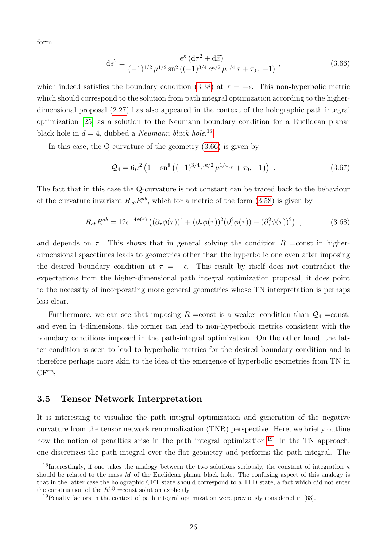form

<span id="page-25-2"></span>
$$
ds^{2} = \frac{e^{\kappa} (d\tau^{2} + d\vec{x})}{(-1)^{1/2} \mu^{1/2} \operatorname{sn}^{2} ((-1)^{3/4} e^{\kappa/2} \mu^{1/4} \tau + \tau_{0}, -1)},
$$
\n(3.66)

which indeed satisfies the boundary condition [\(3.38\)](#page-19-4) at  $\tau = -\epsilon$ . This non-hyperbolic metric which should correspond to the solution from path integral optimization according to the higherdimensional proposal [\(2.27\)](#page-11-1) has also appeared in the context of the holographic path integral optimization [\[25\]](#page-34-1) as a solution to the Neumann boundary condition for a Euclidean planar black hole in  $d = 4$ , dubbed a *Neumann black hole*.<sup>[18](#page-25-1)</sup>

In this case, the Q-curvature of the geometry [\(3.66\)](#page-25-2) is given by

$$
Q_4 = 6\mu^2 \left(1 - \mathrm{sn}^8 \left((-1)^{3/4} e^{\kappa/2} \mu^{1/4} \tau + \tau_0, -1\right)\right) \tag{3.67}
$$

The fact that in this case the Q-curvature is not constant can be traced back to the behaviour of the curvature invariant  $R_{ab}R^{ab}$ , which for a metric of the form [\(3.58\)](#page-23-1) is given by

$$
R_{ab}R^{ab} = 12e^{-4\phi(\tau)}\left( (\partial_\tau \phi(\tau))^4 + (\partial_\tau \phi(\tau))^2 (\partial_\tau^2 \phi(\tau)) + (\partial_\tau^2 \phi(\tau))^2 \right) ,\qquad (3.68)
$$

and depends on  $\tau$ . This shows that in general solving the condition  $R =$ const in higherdimensional spacetimes leads to geometries other than the hyperbolic one even after imposing the desired boundary condition at  $\tau = -\epsilon$ . This result by itself does not contradict the expectations from the higher-dimensional path integral optimization proposal, it does point to the necessity of incorporating more general geometries whose TN interpretation is perhaps less clear.

Furthermore, we can see that imposing  $R =$ const is a weaker condition than  $Q_4 =$ const. and even in 4-dimensions, the former can lead to non-hyperbolic metrics consistent with the boundary conditions imposed in the path-integral optimization. On the other hand, the latter condition is seen to lead to hyperbolic metrics for the desired boundary condition and is therefore perhaps more akin to the idea of the emergence of hyperbolic geometries from TN in CFTs.

#### <span id="page-25-0"></span>3.5 Tensor Network Interpretation

It is interesting to visualize the path integral optimization and generation of the negative curvature from the tensor network renormalization (TNR) perspective. Here, we briefly outline how the notion of penalties arise in the path integral optimization.<sup>[19](#page-25-3)</sup> In the TN approach, one discretizes the path integral over the flat geometry and performs the path integral. The

<span id="page-25-1"></span><sup>&</sup>lt;sup>18</sup>Interestingly, if one takes the analogy between the two solutions seriously, the constant of integration  $\kappa$ should be related to the mass M of the Euclidean planar black hole. The confusing aspect of this analogy is that in the latter case the holographic CFT state should correspond to a TFD state, a fact which did not enter the construction of the  $R^{(4)} = \text{const}$  solution explicitly.

<span id="page-25-3"></span><sup>&</sup>lt;sup>19</sup>Penalty factors in the context of path integral optimization were previously considered in [\[63\]](#page-36-6).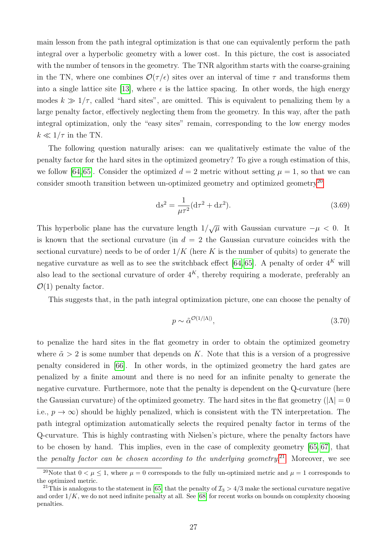main lesson from the path integral optimization is that one can equivalently perform the path integral over a hyperbolic geometry with a lower cost. In this picture, the cost is associated with the number of tensors in the geometry. The TNR algorithm starts with the coarse-graining in the TN, where one combines  $\mathcal{O}(\tau/\epsilon)$  sites over an interval of time  $\tau$  and transforms them into a single lattice site [\[13\]](#page-33-4), where  $\epsilon$  is the lattice spacing. In other words, the high energy modes  $k \gg 1/\tau$ , called "hard sites", are omitted. This is equivalent to penalizing them by a large penalty factor, effectively neglecting them from the geometry. In this way, after the path integral optimization, only the "easy sites" remain, corresponding to the low energy modes  $k \ll 1/\tau$  in the TN.

The following question naturally arises: can we qualitatively estimate the value of the penalty factor for the hard sites in the optimized geometry? To give a rough estimation of this, we follow [\[64,](#page-36-7) [65\]](#page-36-8). Consider the optimized  $d = 2$  metric without setting  $\mu = 1$ , so that we can consider smooth transition between un-optimized geometry and optimized geometry<sup>[20](#page-26-0)</sup>

$$
ds^{2} = \frac{1}{\mu\tau^{2}}(d\tau^{2} + dx^{2}).
$$
\n(3.69)

This hyperbolic plane has the curvature length  $1/\sqrt{\mu}$  with Gaussian curvature  $-\mu < 0$ . It is known that the sectional curvature (in  $d = 2$  the Gaussian curvature coincides with the sectional curvature) needs to be of order  $1/K$  (here K is the number of qubits) to generate the negative curvature as well as to see the switchback effect [\[64,](#page-36-7) [65\]](#page-36-8). A penalty of order  $4^K$  will also lead to the sectional curvature of order  $4^K$ , thereby requiring a moderate, preferably an  $\mathcal{O}(1)$  penalty factor.

This suggests that, in the path integral optimization picture, one can choose the penalty of

<span id="page-26-2"></span>
$$
p \sim \tilde{\alpha}^{\mathcal{O}(1/|\Lambda|)},\tag{3.70}
$$

to penalize the hard sites in the flat geometry in order to obtain the optimized geometry where  $\tilde{\alpha} > 2$  is some number that depends on K. Note that this is a version of a progressive penalty considered in [\[66\]](#page-36-9). In other words, in the optimized geometry the hard gates are penalized by a finite amount and there is no need for an infinite penalty to generate the negative curvature. Furthermore, note that the penalty is dependent on the Q-curvature (here the Gaussian curvature) of the optimized geometry. The hard sites in the flat geometry ( $|\Lambda| = 0$ i.e.,  $p \to \infty$ ) should be highly penalized, which is consistent with the TN interpretation. The path integral optimization automatically selects the required penalty factor in terms of the Q-curvature. This is highly contrasting with Nielsen's picture, where the penalty factors have to be chosen by hand. This implies, even in the case of complexity geometry [\[65,](#page-36-8) [67\]](#page-36-10), that the penalty factor can be chosen according to the underlying geometry.<sup>[21](#page-26-1)</sup> Moreover, we see

<span id="page-26-0"></span><sup>&</sup>lt;sup>20</sup>Note that  $0 < \mu \le 1$ , where  $\mu = 0$  corresponds to the fully un-optimized metric and  $\mu = 1$  corresponds to the optimized metric.

<span id="page-26-1"></span><sup>&</sup>lt;sup>21</sup>This is analogous to the statement in [\[65\]](#page-36-8) that the penalty of  $\mathcal{I}_3 > 4/3$  make the sectional curvature negative and order  $1/K$ , we do not need infinite penalty at all. See [\[68\]](#page-36-11) for recent works on bounds on complexity choosing penalties.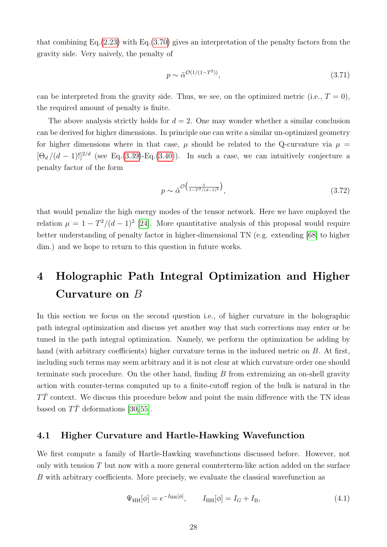that combining Eq. $(2.23)$  with Eq. $(3.70)$  gives an interpretation of the penalty factors from the gravity side. Very naively, the penalty of

$$
p \sim \tilde{\alpha}^{\mathcal{O}(1/(1-T^2))},\tag{3.71}
$$

can be interpreted from the gravity side. Thus, we see, on the optimized metric (i.e.,  $T = 0$ ), the required amount of penalty is finite.

The above analysis strictly holds for  $d = 2$ . One may wonder whether a similar conclusion can be derived for higher dimensions. In principle one can write a similar un-optimized geometry for higher dimensions where in that case,  $\mu$  should be related to the Q-curvature via  $\mu =$  $[\Theta_d/(d-1)!]^{2/d}$  (see Eq.[\(3.39\)](#page-19-5)-Eq.[\(3.40\)](#page-20-2)). In such a case, we can intuitively conjecture a penalty factor of the form

$$
p \sim \tilde{\alpha}^{\mathcal{O}\left(\frac{1}{1 - T^2/(d-1)^2}\right)},\tag{3.72}
$$

that would penalize the high energy modes of the tensor network. Here we have employed the relation  $\mu = 1 - T^2/(d-1)^2$  [\[24\]](#page-34-0). More quantitative analysis of this proposal would require better understanding of penalty factor in higher-dimensional TN (e.g. extending [\[68\]](#page-36-11) to higher dim.) and we hope to return to this question in future works.

# <span id="page-27-0"></span>4 Holographic Path Integral Optimization and Higher Curvature on B

In this section we focus on the second question i.e., of higher curvature in the holographic path integral optimization and discuss yet another way that such corrections may enter or be tuned in the path integral optimization. Namely, we perform the optimization be adding by hand (with arbitrary coefficients) higher curvature terms in the induced metric on B. At first, including such terms may seem arbitrary and it is not clear at which curvature order one should terminate such procedure. On the other hand, finding  $B$  from extremizing an on-shell gravity action with counter-terms computed up to a finite-cutoff region of the bulk is natural in the  $T\bar{T}$  context. We discuss this procedure below and point the main difference with the TN ideas based on  $T\overline{T}$  deformations [\[30,](#page-34-6) [55\]](#page-35-11).

#### <span id="page-27-1"></span>4.1 Higher Curvature and Hartle-Hawking Wavefunction

We first compute a family of Hartle-Hawking wavefunctions discussed before. However, not only with tension  $T$  but now with a more general counterterm-like action added on the surface B with arbitrary coefficients. More precisely, we evaluate the classical wavefunction as

$$
\Psi_{HH}[\phi] = e^{-I_{HH}[\phi]}, \qquad I_{HH}[\phi] = I_G + I_B,\tag{4.1}
$$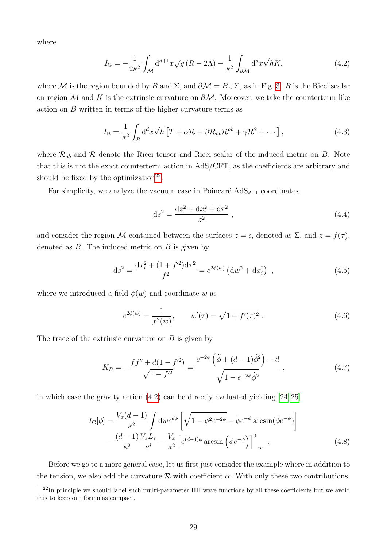where

<span id="page-28-1"></span>
$$
I_{\mathcal{G}} = -\frac{1}{2\kappa^2} \int_{\mathcal{M}} d^{d+1}x \sqrt{g} \left( R - 2\Lambda \right) - \frac{1}{\kappa^2} \int_{\partial \mathcal{M}} d^d x \sqrt{h} K,\tag{4.2}
$$

where M is the region bounded by B and  $\Sigma$ , and  $\partial M = B \cup \Sigma$ , as in Fig. [3.](#page-10-0) R is the Ricci scalar on region M and K is the extrinsic curvature on  $\partial M$ . Moreover, we take the counterterm-like action on  $B$  written in terms of the higher curvature terms as

$$
I_{\rm B} = \frac{1}{\kappa^2} \int_B d^d x \sqrt{h} \left[ T + \alpha \mathcal{R} + \beta \mathcal{R}_{ab} \mathcal{R}^{ab} + \gamma \mathcal{R}^2 + \cdots \right],\tag{4.3}
$$

where  $\mathcal{R}_{ab}$  and  $\mathcal R$  denote the Ricci tensor and Ricci scalar of the induced metric on B. Note that this is not the exact counterterm action in AdS/CFT, as the coefficients are arbitrary and should be fixed by the optimization<sup>[22](#page-28-0)</sup>.

For simplicity, we analyze the vacuum case in Poincaré  $AdS_{d+1}$  coordinates

<span id="page-28-2"></span>
$$
ds^{2} = \frac{dz^{2} + dx_{i}^{2} + d\tau^{2}}{z^{2}} ,
$$
\n(4.4)

and consider the region M contained between the surfaces  $z = \epsilon$ , denoted as  $\Sigma$ , and  $z = f(\tau)$ , denoted as  $B$ . The induced metric on  $B$  is given by

$$
ds^{2} = \frac{dx_{i}^{2} + (1 + f^{\prime 2})d\tau^{2}}{f^{2}} = e^{2\phi(w)} \left( dw^{2} + dx_{i}^{2} \right) , \qquad (4.5)
$$

where we introduced a field  $\phi(w)$  and coordinate w as

$$
e^{2\phi(w)} = \frac{1}{f^2(w)}, \qquad w'(\tau) = \sqrt{1 + f'(\tau)^2} \ . \tag{4.6}
$$

The trace of the extrinsic curvature on  $B$  is given by

$$
K_B = -\frac{ff'' + d(1 - f'^2)}{\sqrt{1 - f'^2}} = \frac{e^{-2\phi} \left(\ddot{\phi} + (d - 1)\dot{\phi}^2\right) - d}{\sqrt{1 - e^{-2\phi}\dot{\phi}^2}} ,\qquad(4.7)
$$

in which case the gravity action [\(4.2\)](#page-28-1) can be directly evaluated yielding [\[24,](#page-34-0) [25\]](#page-34-1)

$$
I_{\mathcal{G}}[\phi] = \frac{V_x(d-1)}{\kappa^2} \int \mathrm{d}w e^{d\phi} \left[ \sqrt{1 - \dot{\phi}^2 e^{-2\phi}} + \dot{\phi} e^{-\phi} \arcsin(\dot{\phi} e^{-\phi}) \right]
$$

$$
- \frac{(d-1) V_x L_\tau}{\kappa^2} - \frac{V_x}{\epsilon^d} \left[ e^{(d-1)\phi} \arcsin\left(\dot{\phi} e^{-\phi}\right) \right]_{-\infty}^0. \tag{4.8}
$$

Before we go to a more general case, let us first just consider the example where in addition to the tension, we also add the curvature  $\mathcal R$  with coefficient  $\alpha$ . With only these two contributions,

<span id="page-28-0"></span> $^{22}$ In principle we should label such multi-parameter HH wave functions by all these coefficients but we avoid this to keep our formulas compact.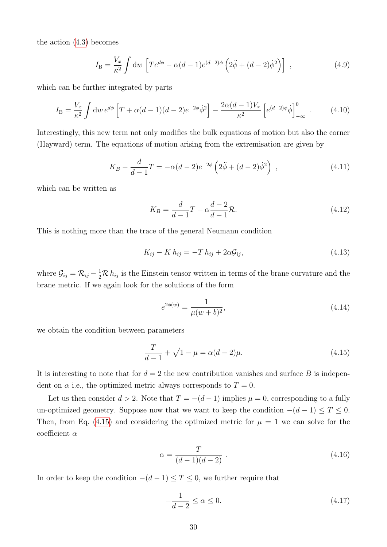the action [\(4.3\)](#page-28-2) becomes

$$
I_{\rm B} = \frac{V_x}{\kappa^2} \int \mathrm{d}w \left[ T e^{d\phi} - \alpha (d-1) e^{(d-2)\phi} \left( 2\ddot{\phi} + (d-2)\dot{\phi}^2 \right) \right] \tag{4.9}
$$

which can be further integrated by parts

$$
I_{\rm B} = \frac{V_x}{\kappa^2} \int \mathrm{d}w \, e^{d\phi} \left[ T + \alpha (d-1)(d-2) e^{-2\phi} \dot{\phi}^2 \right] - \frac{2\alpha (d-1)V_x}{\kappa^2} \left[ e^{(d-2)\phi} \dot{\phi} \right]_{-\infty}^0 \,. \tag{4.10}
$$

Interestingly, this new term not only modifies the bulk equations of motion but also the corner (Hayward) term. The equations of motion arising from the extremisation are given by

$$
K_B - \frac{d}{d-1}T = -\alpha(d-2)e^{-2\phi} \left(2\ddot{\phi} + (d-2)\dot{\phi}^2\right) ,\qquad (4.11)
$$

which can be written as

$$
K_B = \frac{d}{d-1}T + \alpha \frac{d-2}{d-1}R.
$$
\n(4.12)

This is nothing more than the trace of the general Neumann condition

$$
K_{ij} - K h_{ij} = -T h_{ij} + 2\alpha \mathcal{G}_{ij},\tag{4.13}
$$

where  $\mathcal{G}_{ij} = \mathcal{R}_{ij} - \frac{1}{2}\mathcal{R} h_{ij}$  is the Einstein tensor written in terms of the brane curvature and the brane metric. If we again look for the solutions of the form

<span id="page-29-1"></span><span id="page-29-0"></span>
$$
e^{2\phi(w)} = \frac{1}{\mu(w+b)^2},\tag{4.14}
$$

we obtain the condition between parameters

$$
\frac{T}{d-1} + \sqrt{1-\mu} = \alpha(d-2)\mu.
$$
\n(4.15)

It is interesting to note that for  $d = 2$  the new contribution vanishes and surface B is independent on  $\alpha$  i.e., the optimized metric always corresponds to  $T = 0$ .

Let us then consider  $d > 2$ . Note that  $T = -(d-1)$  implies  $\mu = 0$ , corresponding to a fully un-optimized geometry. Suppose now that we want to keep the condition  $-(d-1) \leq T \leq 0$ . Then, from Eq. [\(4.15\)](#page-29-0) and considering the optimized metric for  $\mu = 1$  we can solve for the coefficient  $\alpha$ 

$$
\alpha = \frac{T}{(d-1)(d-2)} \ . \tag{4.16}
$$

In order to keep the condition  $-(d-1) \leq T \leq 0$ , we further require that

$$
-\frac{1}{d-2} \le \alpha \le 0. \tag{4.17}
$$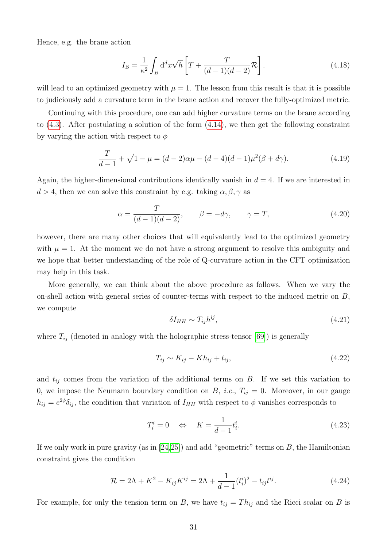Hence, e.g. the brane action

$$
I_{\mathcal{B}} = \frac{1}{\kappa^2} \int_B d^d x \sqrt{h} \left[ T + \frac{T}{(d-1)(d-2)} \mathcal{R} \right]. \tag{4.18}
$$

will lead to an optimized geometry with  $\mu = 1$ . The lesson from this result is that it is possible to judiciously add a curvature term in the brane action and recover the fully-optimized metric.

Continuing with this procedure, one can add higher curvature terms on the brane according to [\(4.3\)](#page-28-2). After postulating a solution of the form [\(4.14\)](#page-29-1), we then get the following constraint by varying the action with respect to  $\phi$ 

$$
\frac{T}{d-1} + \sqrt{1-\mu} = (d-2)\alpha\mu - (d-4)(d-1)\mu^2(\beta + d\gamma).
$$
 (4.19)

Again, the higher-dimensional contributions identically vanish in  $d = 4$ . If we are interested in  $d > 4$ , then we can solve this constraint by e.g. taking  $\alpha, \beta, \gamma$  as

$$
\alpha = \frac{T}{(d-1)(d-2)}, \qquad \beta = -d\gamma, \qquad \gamma = T,
$$
\n(4.20)

however, there are many other choices that will equivalently lead to the optimized geometry with  $\mu = 1$ . At the moment we do not have a strong argument to resolve this ambiguity and we hope that better understanding of the role of Q-curvature action in the CFT optimization may help in this task.

More generally, we can think about the above procedure as follows. When we vary the on-shell action with general series of counter-terms with respect to the induced metric on  $B$ , we compute

$$
\delta I_{HH} \sim T_{ij} h^{ij},\tag{4.21}
$$

where  $T_{ij}$  (denoted in analogy with the holographic stress-tensor [\[69\]](#page-36-12)) is generally

$$
T_{ij} \sim K_{ij} - Kh_{ij} + t_{ij},\tag{4.22}
$$

and  $t_{ij}$  comes from the variation of the additional terms on B. If we set this variation to 0, we impose the Neumann boundary condition on  $B$ , *i.e.*,  $T_{ij} = 0$ . Moreover, in our gauge  $h_{ij} = e^{2\phi} \delta_{ij}$ , the condition that variation of  $I_{HH}$  with respect to  $\phi$  vanishes corresponds to

$$
T_i^i = 0 \quad \Leftrightarrow \quad K = \frac{1}{d-1} t_i^i. \tag{4.23}
$$

If we only work in pure gravity (as in  $[24,25]$  $[24,25]$ ) and add "geometric" terms on B, the Hamiltonian constraint gives the condition

$$
\mathcal{R} = 2\Lambda + K^2 - K_{ij}K^{ij} = 2\Lambda + \frac{1}{d-1}(t_i^i)^2 - t_{ij}t^{ij}.
$$
\n(4.24)

For example, for only the tension term on B, we have  $t_{ij} = Th_{ij}$  and the Ricci scalar on B is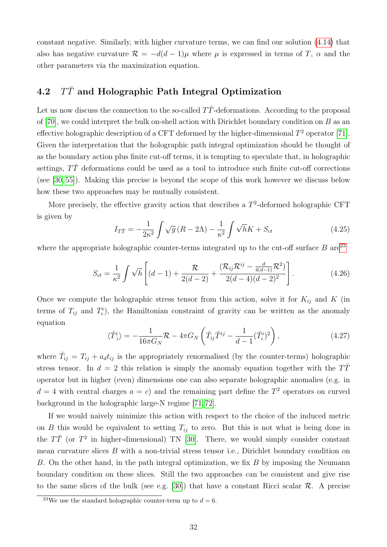constant negative. Similarly, with higher curvature terms, we can find our solution [\(4.14\)](#page-29-1) that also has negative curvature  $\mathcal{R} = -d(d-1)\mu$  where  $\mu$  is expressed in terms of T,  $\alpha$  and the other parameters via the maximization equation.

## <span id="page-31-0"></span>4.2  $T\bar{T}$  and Holographic Path Integral Optimization

Let us now discuss the connection to the so-called  $T\bar{T}$ -deformations. According to the proposal of [\[70\]](#page-36-13), we could interpret the bulk on-shell action with Dirichlet boundary condition on  $B$  as an effective holographic description of a CFT deformed by the higher-dimensional  $T^2$  operator [\[71\]](#page-36-14). Given the interpretation that the holographic path integral optimization should be thought of as the boundary action plus finite cut-off terms, it is tempting to speculate that, in holographic settings,  $T\bar{T}$  deformations could be used as a tool to introduce such finite cut-off corrections (see [\[30,](#page-34-6) [55\]](#page-35-11)). Making this precise is beyond the scope of this work however we discuss below how these two approaches may be mutually consistent.

More precisely, the effective gravity action that describes a  $T^2$ -deformed holographic CFT is given by

$$
I_{T\bar{T}} = -\frac{1}{2\kappa^2} \int \sqrt{g} \left( R - 2\Lambda \right) - \frac{1}{\kappa^2} \int \sqrt{h}K + S_{ct}
$$
\n(4.25)

where the appropriate holographic counter-terms integrated up to the cut-off surface  $B$  are<sup>[23](#page-31-1)</sup>

$$
S_{ct} = \frac{1}{\kappa^2} \int \sqrt{h} \left[ (d-1) + \frac{\mathcal{R}}{2(d-2)} + \frac{(\mathcal{R}_{ij}\mathcal{R}^{ij} - \frac{d}{4(d-1)}\mathcal{R}^2)}{2(d-4)(d-2)^2} \right].
$$
 (4.26)

Once we compute the holographic stress tensor from this action, solve it for  $K_{ij}$  and K (in terms of  $T_{ij}$  and  $T_i^i$ , the Hamiltonian constraint of gravity can be written as the anomaly equation

$$
\langle \hat{T}_i^i \rangle = -\frac{1}{16\pi G_N} \mathcal{R} - 4\pi G_N \left( \hat{T}_{ij} \hat{T}^{ij} - \frac{1}{d-1} (\hat{T}_i^i)^2 \right), \tag{4.27}
$$

where  $\hat{T}_{ij} = T_{ij} + a_d t_{ij}$  is the appropriately renormalised (by the counter-terms) holographic stress tensor. In  $d = 2$  this relation is simply the anomaly equation together with the  $T\bar{T}$ operator but in higher (even) dimensions one can also separate holographic anomalies (e.g. in  $d = 4$  with central charges  $a = c$  and the remaining part define the  $T<sup>2</sup>$  operators on curved background in the holographic large-N regime [\[71,](#page-36-14) [72\]](#page-37-0).

If we would naively minimize this action with respect to the choice of the induced metric on B this would be equivalent to setting  $T_{ij}$  to zero. But this is not what is being done in the  $T\bar{T}$  (or  $T^2$  in higher-dimensional) TN [\[30\]](#page-34-6). There, we would simply consider constant mean curvature slices B with a non-trivial stress tensor i.e., Dirichlet boundary condition on B. On the other hand, in the path integral optimization, we fix B by imposing the Neumann boundary condition on these slices. Still the two approaches can be consistent and give rise to the same slices of the bulk (see e.g. [\[30\]](#page-34-6)) that have a constant Ricci scalar  $\mathcal{R}$ . A precise

<span id="page-31-1"></span><sup>&</sup>lt;sup>23</sup>We use the standard holographic counter-term up to  $d = 6$ .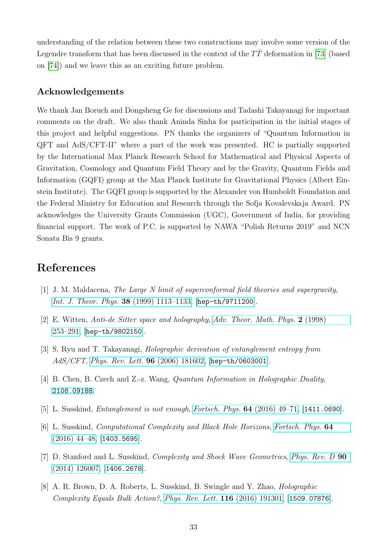understanding of the relation between these two constructions may involve some version of the Legendre transform that has been discussed in the context of the  $T\bar{T}$  deformation in [\[73\]](#page-37-1) (based on [\[74\]](#page-37-2)) and we leave this as an exciting future problem.

#### Acknowledgements

We thank Jan Boruch and Dongsheng Ge for discussions and Tadashi Takayanagi for important comments on the draft. We also thank Aninda Sinha for participation in the initial stages of this project and helpful suggestions. PN thanks the organizers of "Quantum Information in QFT and AdS/CFT-II" where a part of the work was presented. HC is partially supported by the International Max Planck Research School for Mathematical and Physical Aspects of Gravitation, Cosmology and Quantum Field Theory and by the Gravity, Quantum Fields and Information (GQFI) group at the Max Planck Institute for Gravitational Physics (Albert Einstein Institute). The GQFI group is supported by the Alexander von Humboldt Foundation and the Federal Ministry for Education and Research through the Sofja Kovalevskaja Award. PN acknowledges the University Grants Commission (UGC), Government of India, for providing financial support. The work of P.C. is supported by NAWA "Polish Returns 2019" and NCN Sonata Bis 9 grants.

## References

- <span id="page-32-0"></span>[1] J. M. Maldacena, The Large N limit of superconformal field theories and supergravity, [Int. J. Theor. Phys.](http://dx.doi.org/10.1023/A:1026654312961) 38 (1999) 1113–1133, [[hep-th/9711200](https://arxiv.org/abs/hep-th/9711200)].
- <span id="page-32-1"></span>[2] E. Witten, Anti-de Sitter space and holography, [Adv. Theor. Math. Phys.](http://dx.doi.org/10.4310/ATMP.1998.v2.n2.a2) 2 (1998) [253–291,](http://dx.doi.org/10.4310/ATMP.1998.v2.n2.a2) [[hep-th/9802150](https://arxiv.org/abs/hep-th/9802150)].
- <span id="page-32-2"></span>[3] S. Ryu and T. Takayanagi, Holographic derivation of entanglement entropy from AdS/CFT, [Phys. Rev. Lett.](http://dx.doi.org/10.1103/PhysRevLett.96.181602) 96 (2006) 181602, [[hep-th/0603001](https://arxiv.org/abs/hep-th/0603001)].
- <span id="page-32-3"></span>[4] B. Chen, B. Czech and Z.-z. Wang, *Quantum Information in Holographic Duality*, [2108.09188](https://arxiv.org/abs/2108.09188).
- <span id="page-32-4"></span>[5] L. Susskind, Entanglement is not enough, [Fortsch. Phys.](http://dx.doi.org/10.1002/prop.201500095) 64 (2016) 49–71, [[1411.0690](https://arxiv.org/abs/1411.0690)].
- [6] L. Susskind, Computational Complexity and Black Hole Horizons, [Fortsch. Phys.](http://dx.doi.org/10.1002/prop.201500093, 10.1002/prop.201500092) 64  $(2016)$  44–48, [[1403.5695](https://arxiv.org/abs/1403.5695)].
- [7] D. Stanford and L. Susskind, Complexity and Shock Wave Geometries, [Phys. Rev. D](http://dx.doi.org/10.1103/PhysRevD.90.126007) 90 [\(2014\) 126007,](http://dx.doi.org/10.1103/PhysRevD.90.126007) [[1406.2678](https://arxiv.org/abs/1406.2678)].
- <span id="page-32-5"></span>[8] A. R. Brown, D. A. Roberts, L. Susskind, B. Swingle and Y. Zhao, Holographic Complexity Equals Bulk Action?, [Phys. Rev. Lett.](http://dx.doi.org/10.1103/PhysRevLett.116.191301) 116 (2016) 191301, [[1509.07876](https://arxiv.org/abs/1509.07876)].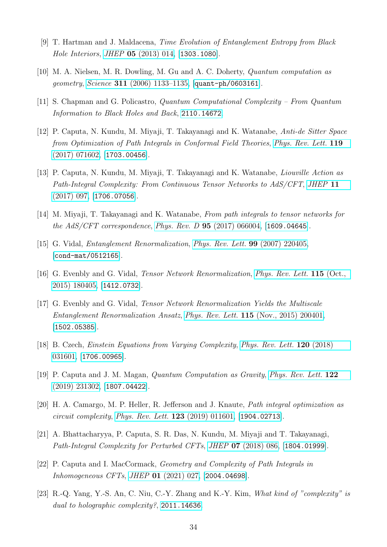- <span id="page-33-0"></span>[9] T. Hartman and J. Maldacena, Time Evolution of Entanglement Entropy from Black Hole Interiors, JHEP 05 [\(2013\) 014,](http://dx.doi.org/10.1007/JHEP05(2013)014) [[1303.1080](https://arxiv.org/abs/1303.1080)].
- <span id="page-33-1"></span>[10] M. A. Nielsen, M. R. Dowling, M. Gu and A. C. Doherty, Quantum computation as geometry, Science 311 [\(2006\) 1133–1135,](http://dx.doi.org/10.1126/science.1121541) [[quant-ph/0603161](https://arxiv.org/abs/quant-ph/0603161)].
- <span id="page-33-2"></span>[11] S. Chapman and G. Policastro, Quantum Computational Complexity – From Quantum Information to Black Holes and Back, [2110.14672](https://arxiv.org/abs/2110.14672).
- <span id="page-33-3"></span>[12] P. Caputa, N. Kundu, M. Miyaji, T. Takayanagi and K. Watanabe, Anti-de Sitter Space from Optimization of Path Integrals in Conformal Field Theories, [Phys. Rev. Lett.](http://dx.doi.org/10.1103/PhysRevLett.119.071602) 119 [\(2017\) 071602,](http://dx.doi.org/10.1103/PhysRevLett.119.071602) [[1703.00456](https://arxiv.org/abs/1703.00456)].
- <span id="page-33-4"></span>[13] P. Caputa, N. Kundu, M. Miyaji, T. Takayanagi and K. Watanabe, Liouville Action as Path-Integral Complexity: From Continuous Tensor Networks to AdS/CFT, [JHEP](http://dx.doi.org/10.1007/JHEP11(2017)097) 11 [\(2017\) 097,](http://dx.doi.org/10.1007/JHEP11(2017)097) [[1706.07056](https://arxiv.org/abs/1706.07056)].
- <span id="page-33-5"></span>[14] M. Miyaji, T. Takayanagi and K. Watanabe, From path integrals to tensor networks for the AdS/CFT correspondence, Phys. Rev. D 95 [\(2017\) 066004,](http://dx.doi.org/10.1103/PhysRevD.95.066004) [[1609.04645](https://arxiv.org/abs/1609.04645)].
- <span id="page-33-6"></span>[15] G. Vidal, Entanglement Renormalization, [Phys. Rev. Lett.](http://dx.doi.org/10.1103/PhysRevLett.99.220405) 99 (2007) 220405, [[cond-mat/0512165](https://arxiv.org/abs/cond-mat/0512165)].
- <span id="page-33-7"></span>[16] G. Evenbly and G. Vidal, *Tensor Network Renormalization, [Phys. Rev. Lett.](http://dx.doi.org/10.1103/PhysRevLett.115.180405)* **115** (Oct., [2015\) 180405,](http://dx.doi.org/10.1103/PhysRevLett.115.180405) [[1412.0732](https://arxiv.org/abs/1412.0732)].
- <span id="page-33-8"></span>[17] G. Evenbly and G. Vidal, Tensor Network Renormalization Yields the Multiscale Entanglement Renormalization Ansatz, Phys. Rev. Lett. 115 [\(Nov., 2015\) 200401,](http://dx.doi.org/10.1103/PhysRevLett.115.200401) [[1502.05385](https://arxiv.org/abs/1502.05385)].
- <span id="page-33-9"></span>[18] B. Czech, Einstein Equations from Varying Complexity, [Phys. Rev. Lett.](http://dx.doi.org/10.1103/PhysRevLett.120.031601) 120 (2018) [031601,](http://dx.doi.org/10.1103/PhysRevLett.120.031601) [[1706.00965](https://arxiv.org/abs/1706.00965)].
- <span id="page-33-13"></span>[19] P. Caputa and J. M. Magan, Quantum Computation as Gravity, [Phys. Rev. Lett.](http://dx.doi.org/10.1103/PhysRevLett.122.231302) 122 [\(2019\) 231302,](http://dx.doi.org/10.1103/PhysRevLett.122.231302) [[1807.04422](https://arxiv.org/abs/1807.04422)].
- <span id="page-33-14"></span>[20] H. A. Camargo, M. P. Heller, R. Jefferson and J. Knaute, Path integral optimization as circuit complexity, [Phys. Rev. Lett.](http://dx.doi.org/10.1103/PhysRevLett.123.011601) 123 (2019) 011601, [[1904.02713](https://arxiv.org/abs/1904.02713)].
- <span id="page-33-11"></span>[21] A. Bhattacharyya, P. Caputa, S. R. Das, N. Kundu, M. Miyaji and T. Takayanagi, Path-Integral Complexity for Perturbed CFTs, JHEP 07 [\(2018\) 086,](http://dx.doi.org/10.1007/JHEP07(2018)086) [[1804.01999](https://arxiv.org/abs/1804.01999)].
- <span id="page-33-12"></span>[22] P. Caputa and I. MacCormack, Geometry and Complexity of Path Integrals in Inhomogeneous CFTs, JHEP 01 [\(2021\) 027,](http://dx.doi.org/10.1007/JHEP01(2021)027) [[2004.04698](https://arxiv.org/abs/2004.04698)].
- <span id="page-33-10"></span>[23] R.-Q. Yang, Y.-S. An, C. Niu, C.-Y. Zhang and K.-Y. Kim, What kind of "complexity" is dual to holographic complexity?, [2011.14636](https://arxiv.org/abs/2011.14636).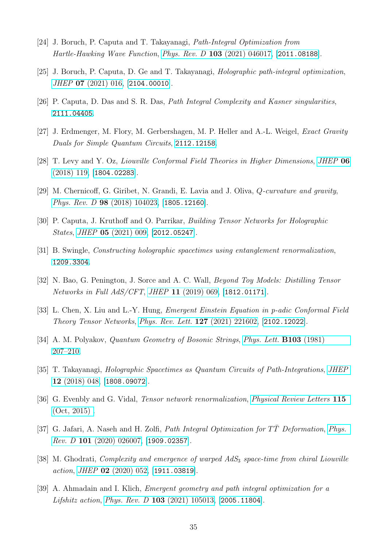- <span id="page-34-0"></span>[24] J. Boruch, P. Caputa and T. Takayanagi, Path-Integral Optimization from Hartle-Hawking Wave Function, Phys. Rev. D 103 [\(2021\) 046017,](http://dx.doi.org/10.1103/PhysRevD.103.046017) [[2011.08188](https://arxiv.org/abs/2011.08188)].
- <span id="page-34-1"></span>[25] J. Boruch, P. Caputa, D. Ge and T. Takayanagi, Holographic path-integral optimization, JHEP 07 [\(2021\) 016,](http://dx.doi.org/10.1007/JHEP07(2021)016) [[2104.00010](https://arxiv.org/abs/2104.00010)].
- <span id="page-34-2"></span>[26] P. Caputa, D. Das and S. R. Das, Path Integral Complexity and Kasner singularities, [2111.04405](https://arxiv.org/abs/2111.04405).
- <span id="page-34-3"></span>[27] J. Erdmenger, M. Flory, M. Gerbershagen, M. P. Heller and A.-L. Weigel, Exact Gravity Duals for Simple Quantum Circuits, [2112.12158](https://arxiv.org/abs/2112.12158).
- <span id="page-34-4"></span>[28] T. Levy and Y. Oz, Liouville Conformal Field Theories in Higher Dimensions, [JHEP](http://dx.doi.org/10.1007/JHEP06(2018)119) 06 [\(2018\) 119,](http://dx.doi.org/10.1007/JHEP06(2018)119) [[1804.02283](https://arxiv.org/abs/1804.02283)].
- <span id="page-34-5"></span>[29] M. Chernicoff, G. Giribet, N. Grandi, E. Lavia and J. Oliva, Q-curvature and gravity, Phys. Rev. D 98 [\(2018\) 104023,](http://dx.doi.org/10.1103/PhysRevD.98.104023) [[1805.12160](https://arxiv.org/abs/1805.12160)].
- <span id="page-34-6"></span>[30] P. Caputa, J. Kruthoff and O. Parrikar, Building Tensor Networks for Holographic States, JHEP 05 [\(2021\) 009,](http://dx.doi.org/10.1007/JHEP05(2021)009) [[2012.05247](https://arxiv.org/abs/2012.05247)].
- <span id="page-34-7"></span>[31] B. Swingle, Constructing holographic spacetimes using entanglement renormalization, [1209.3304](https://arxiv.org/abs/1209.3304).
- <span id="page-34-8"></span>[32] N. Bao, G. Penington, J. Sorce and A. C. Wall, Beyond Toy Models: Distilling Tensor Networks in Full AdS/CFT, JHEP 11 [\(2019\) 069,](http://dx.doi.org/10.1007/JHEP11(2019)069) [[1812.01171](https://arxiv.org/abs/1812.01171)].
- <span id="page-34-9"></span>[33] L. Chen, X. Liu and L.-Y. Hung, Emergent Einstein Equation in p-adic Conformal Field Theory Tensor Networks, [Phys. Rev. Lett.](http://dx.doi.org/10.1103/PhysRevLett.127.221602) 127 (2021) 221602, [[2102.12022](https://arxiv.org/abs/2102.12022)].
- <span id="page-34-10"></span>[34] A. M. Polyakov, *Quantum Geometry of Bosonic Strings, [Phys. Lett.](http://dx.doi.org/10.1016/0370-2693(81)90743-7)* **B103** (1981) [207–210.](http://dx.doi.org/10.1016/0370-2693(81)90743-7)
- <span id="page-34-11"></span>[35] T. Takayanagi, Holographic Spacetimes as Quantum Circuits of Path-Integrations, [JHEP](http://dx.doi.org/10.1007/JHEP12(2018)048) 12 [\(2018\) 048,](http://dx.doi.org/10.1007/JHEP12(2018)048) [[1808.09072](https://arxiv.org/abs/1808.09072)].
- <span id="page-34-12"></span>[36] G. Evenbly and G. Vidal, Tensor network renormalization, [Physical Review Letters](http://dx.doi.org/10.1103/physrevlett.115.180405) 115 [\(Oct, 2015\) .](http://dx.doi.org/10.1103/physrevlett.115.180405)
- <span id="page-34-13"></span>[37] G. Jafari, A. Naseh and H. Zolfi, Path Integral Optimization for  $T\overline{T}$  Deformation, [Phys.](http://dx.doi.org/10.1103/PhysRevD.101.026007) *Rev. D* 101 [\(2020\) 026007,](http://dx.doi.org/10.1103/PhysRevD.101.026007) [[1909.02357](https://arxiv.org/abs/1909.02357)].
- [38] M. Ghodrati, *Complexity and emergence of warped*  $AdS_3$  *space-time from chiral Liouville* action, JHEP  $02$  [\(2020\) 052,](http://dx.doi.org/10.1007/JHEP02(2020)052) [[1911.03819](https://arxiv.org/abs/1911.03819)].
- <span id="page-34-14"></span>[39] A. Ahmadain and I. Klich, Emergent geometry and path integral optimization for a Lifshitz action, Phys. Rev. D 103 [\(2021\) 105013,](http://dx.doi.org/10.1103/PhysRevD.103.105013) [[2005.11804](https://arxiv.org/abs/2005.11804)].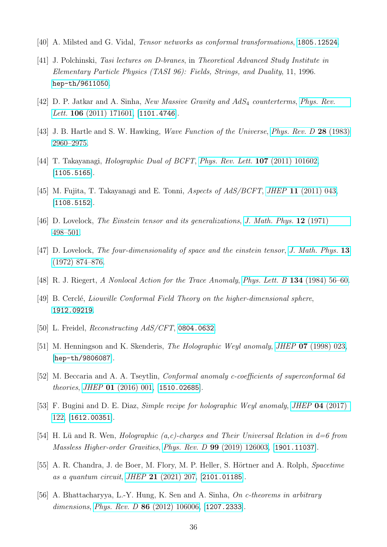- <span id="page-35-0"></span>[40] A. Milsted and G. Vidal, Tensor networks as conformal transformations, [1805.12524](https://arxiv.org/abs/1805.12524).
- <span id="page-35-1"></span>[41] J. Polchinski, Tasi lectures on D-branes, in Theoretical Advanced Study Institute in Elementary Particle Physics (TASI 96): Fields, Strings, and Duality, 11, 1996. [hep-th/9611050](https://arxiv.org/abs/hep-th/9611050).
- <span id="page-35-3"></span>[42] D. P. Jatkar and A. Sinha, New Massive Gravity and AdS<sup>4</sup> counterterms, [Phys. Rev.](http://dx.doi.org/10.1103/PhysRevLett.106.171601) Lett. 106  $(2011)$  171601, [[1101.4746](https://arxiv.org/abs/1101.4746)].
- <span id="page-35-2"></span>[43] J. B. Hartle and S. W. Hawking, *Wave Function of the Universe*, *[Phys. Rev. D](http://dx.doi.org/10.1103/PhysRevD.28.2960)* 28 (1983) [2960–2975.](http://dx.doi.org/10.1103/PhysRevD.28.2960)
- <span id="page-35-4"></span>[44] T. Takayanagi, *Holographic Dual of BCFT*, *[Phys. Rev. Lett.](http://dx.doi.org/10.1103/PhysRevLett.107.101602)* **107** (2011) 101602, [[1105.5165](https://arxiv.org/abs/1105.5165)].
- <span id="page-35-5"></span>[45] M. Fujita, T. Takayanagi and E. Tonni, *Aspects of AdS/BCFT*, *JHEP* 11 [\(2011\) 043,](http://dx.doi.org/10.1007/JHEP11(2011)043) [[1108.5152](https://arxiv.org/abs/1108.5152)].
- <span id="page-35-12"></span>[46] D. Lovelock, The Einstein tensor and its generalizations, [J. Math. Phys.](http://dx.doi.org/10.1063/1.1665613) 12 (1971) [498–501.](http://dx.doi.org/10.1063/1.1665613)
- <span id="page-35-13"></span>[47] D. Lovelock, The four-dimensionality of space and the einstein tensor, [J. Math. Phys.](http://dx.doi.org/10.1063/1.1666069) 13 [\(1972\) 874–876.](http://dx.doi.org/10.1063/1.1666069)
- <span id="page-35-6"></span>[48] R. J. Riegert, A Nonlocal Action for the Trace Anomaly, [Phys. Lett. B](http://dx.doi.org/10.1016/0370-2693(84)90983-3) 134 (1984) 56–60.
- <span id="page-35-7"></span>[49] B. Cerclé, *Liouville Conformal Field Theory on the higher-dimensional sphere,* [1912.09219](https://arxiv.org/abs/1912.09219).
- <span id="page-35-8"></span>[50] L. Freidel, *Reconstructing AdS/CFT*, [0804.0632](https://arxiv.org/abs/0804.0632).
- <span id="page-35-9"></span>[51] M. Henningson and K. Skenderis, *The Holographic Weyl anomaly*, *JHEP* **07** [\(1998\) 023,](http://dx.doi.org/10.1088/1126-6708/1998/07/023) [[hep-th/9806087](https://arxiv.org/abs/hep-th/9806087)].
- [52] M. Beccaria and A. A. Tseytlin, Conformal anomaly c-coefficients of superconformal 6d theories, JHEP 01 [\(2016\) 001,](http://dx.doi.org/10.1007/JHEP01(2016)001) [[1510.02685](https://arxiv.org/abs/1510.02685)].
- [53] F. Bugini and D. E. Diaz, Simple recipe for holographic Weyl anomaly, JHEP 04 [\(2017\)](http://dx.doi.org/10.1007/JHEP04(2017)122) [122,](http://dx.doi.org/10.1007/JHEP04(2017)122) [[1612.00351](https://arxiv.org/abs/1612.00351)].
- <span id="page-35-10"></span>[54] H. Lü and R. Wen, *Holographic* (a,c)-charges and Their Universal Relation in  $d=6$  from Massless Higher-order Gravities, Phys. Rev. D 99 [\(2019\) 126003,](http://dx.doi.org/10.1103/PhysRevD.99.126003) [[1901.11037](https://arxiv.org/abs/1901.11037)].
- <span id="page-35-11"></span>[55] A. R. Chandra, J. de Boer, M. Flory, M. P. Heller, S. Hörtner and A. Rolph, Spacetime as a quantum circuit, JHEP 21 [\(2021\) 207,](http://dx.doi.org/10.1007/JHEP04(2021)207) [[2101.01185](https://arxiv.org/abs/2101.01185)].
- <span id="page-35-14"></span>[56] A. Bhattacharyya, L.-Y. Hung, K. Sen and A. Sinha, On c-theorems in arbitrary dimensions, *Phys. Rev. D* **86** [\(2012\) 106006,](http://dx.doi.org/10.1103/PhysRevD.86.106006) [[1207.2333](https://arxiv.org/abs/1207.2333)].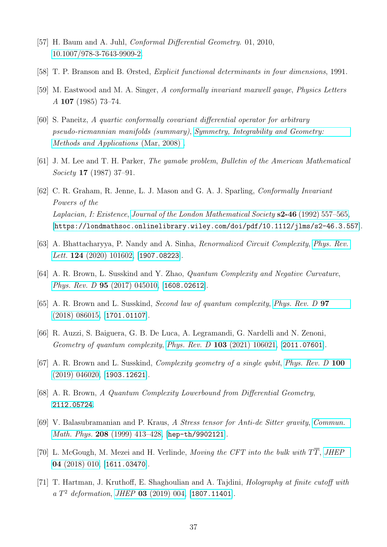- <span id="page-36-0"></span>[57] H. Baum and A. Juhl, Conformal Differential Geometry. 01, 2010, [10.1007/978-3-7643-9909-2.](http://dx.doi.org/10.1007/978-3-7643-9909-2)
- <span id="page-36-1"></span>[58] T. P. Branson and B. Ørsted, Explicit functional determinants in four dimensions, 1991.
- <span id="page-36-2"></span>[59] M. Eastwood and M. A. Singer, A conformally invariant maxwell gauge, Physics Letters A 107 (1985) 73–74.
- <span id="page-36-3"></span>[60] S. Paneitz, A quartic conformally covariant differential operator for arbitrary pseudo-riemannian manifolds (summary), [Symmetry, Integrability and Geometry:](http://dx.doi.org/10.3842/sigma.2008.036) [Methods and Applications](http://dx.doi.org/10.3842/sigma.2008.036) (Mar, 2008) .
- <span id="page-36-4"></span>[61] J. M. Lee and T. H. Parker, The yamabe problem, Bulletin of the American Mathematical Society 17 (1987) 37–91.
- <span id="page-36-5"></span>[62] C. R. Graham, R. Jenne, L. J. Mason and G. A. J. Sparling, Conformally Invariant Powers of the Laplacian, I: Existence, [Journal of the London Mathematical Society](http://dx.doi.org/https://doi.org/10.1112/jlms/s2-46.3.557) s2-46 (1992) 557–565, [[https://londmathsoc.onlinelibrary.wiley.com/doi/pdf/10.1112/jlms/s2-46.3.557](https://arxiv.org/abs/https://londmathsoc.onlinelibrary.wiley.com/doi/pdf/10.1112/jlms/s2-46.3.557)].
- <span id="page-36-6"></span>[63] A. Bhattacharyya, P. Nandy and A. Sinha, Renormalized Circuit Complexity, [Phys. Rev.](http://dx.doi.org/10.1103/PhysRevLett.124.101602) *Lett.* **124** [\(2020\) 101602,](http://dx.doi.org/10.1103/PhysRevLett.124.101602) [[1907.08223](https://arxiv.org/abs/1907.08223)].
- <span id="page-36-7"></span>[64] A. R. Brown, L. Susskind and Y. Zhao, Quantum Complexity and Negative Curvature, Phys. Rev. D 95 [\(2017\) 045010,](http://dx.doi.org/10.1103/PhysRevD.95.045010) [[1608.02612](https://arxiv.org/abs/1608.02612)].
- <span id="page-36-8"></span>[65] A. R. Brown and L. Susskind, Second law of quantum complexity, [Phys. Rev. D](http://dx.doi.org/10.1103/PhysRevD.97.086015) 97 [\(2018\) 086015,](http://dx.doi.org/10.1103/PhysRevD.97.086015) [[1701.01107](https://arxiv.org/abs/1701.01107)].
- <span id="page-36-9"></span>[66] R. Auzzi, S. Baiguera, G. B. De Luca, A. Legramandi, G. Nardelli and N. Zenoni, Geometry of quantum complexity, Phys. Rev. D 103 [\(2021\) 106021,](http://dx.doi.org/10.1103/PhysRevD.103.106021) [[2011.07601](https://arxiv.org/abs/2011.07601)].
- <span id="page-36-10"></span>[67] A. R. Brown and L. Susskind, *Complexity geometry of a single qubit, [Phys. Rev. D](http://dx.doi.org/10.1103/PhysRevD.100.046020)* 100 [\(2019\) 046020,](http://dx.doi.org/10.1103/PhysRevD.100.046020) [[1903.12621](https://arxiv.org/abs/1903.12621)].
- <span id="page-36-11"></span>[68] A. R. Brown, A Quantum Complexity Lowerbound from Differential Geometry, [2112.05724](https://arxiv.org/abs/2112.05724).
- <span id="page-36-12"></span>[69] V. Balasubramanian and P. Kraus, A Stress tensor for Anti-de Sitter gravity, [Commun.](http://dx.doi.org/10.1007/s002200050764) Math. Phys. 208 (1999) 413-428, [[hep-th/9902121](https://arxiv.org/abs/hep-th/9902121)].
- <span id="page-36-13"></span>[70] L. McGough, M. Mezei and H. Verlinde, Moving the CFT into the bulk with  $T\overline{T}$ , [JHEP](http://dx.doi.org/10.1007/JHEP04(2018)010) 04 [\(2018\) 010,](http://dx.doi.org/10.1007/JHEP04(2018)010) [[1611.03470](https://arxiv.org/abs/1611.03470)].
- <span id="page-36-14"></span>[71] T. Hartman, J. Kruthoff, E. Shaghoulian and A. Tajdini, Holography at finite cutoff with a  $T^2$  deformation, JHEP 03 [\(2019\) 004,](http://dx.doi.org/10.1007/JHEP03(2019)004) [[1807.11401](https://arxiv.org/abs/1807.11401)].